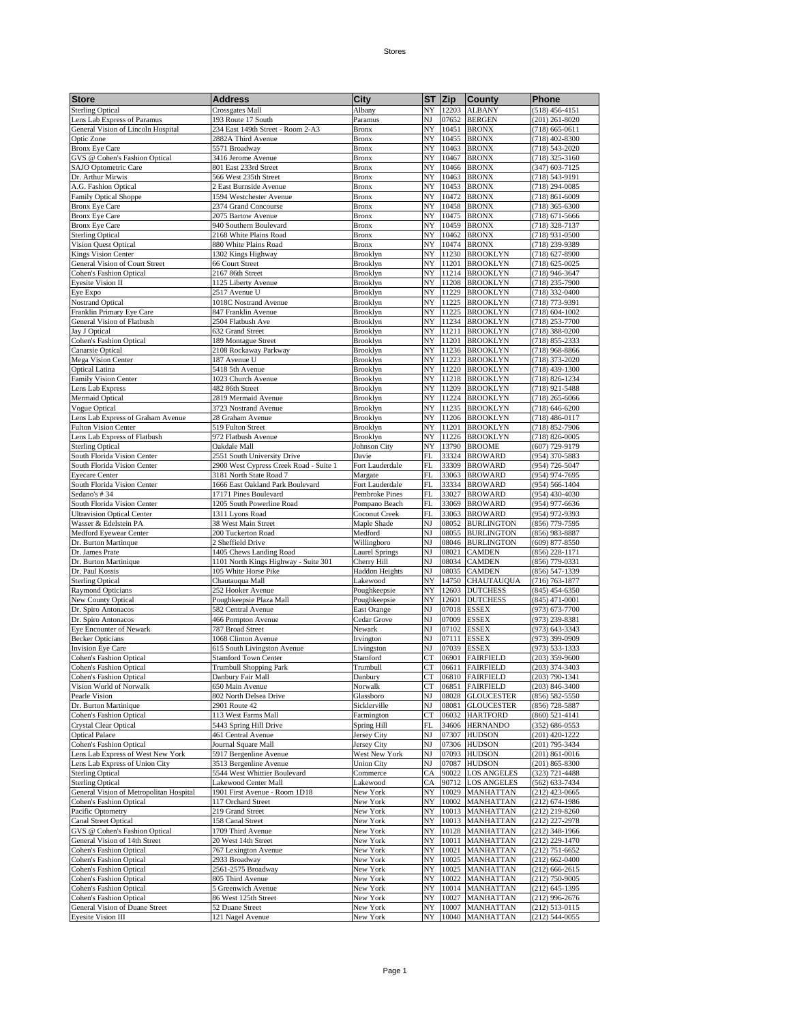Bronx NY 10463 BRONX

**Store Address Address City** ST Zip County Phone Sterling Optical Crossgates Mall Albany NY 12203 ALBANY (518) 456-4151<br>
Lens Lab Express of Paramus 193 Route 17 South Paramus NJ 07652 BERGEN (201) 261-8020 Lens Lab Express of Paramus 193 Route 17 South Paramus NJ 07652 BERGEN (201) 261-8020<br>
General Vision of Lincoln Hospital 234 East 149th Street - Room 2-A3 Bronx NY 10451 BRONX (718) 665-0611

Optic Zone 2882A Third Avenue Bronx NY 10455 BRONX (718) 402-8300<br>
Bronx Eye Care 5571 Broadway Bronx NY 10463 BRONX (718) 543-2020

GVS @ Cohen's Fashion Optical 3416 Jerome Avenue Bronx NY 10467 BRONX (718) 325-3160<br>
SAJO Optometric Care 801 East 233rd Street Bronx NY 10466 BRONX (347) 603-7125 SAJO Optometric Care 801 East 233rd Street Bronx NY 10466 BRONX (347) 603-7125<br>Dr. Arthur Mirwis 566 West 235th Street Bronx NY 10463 BRONX (718) 543-9191 1. Dr. Arthur Mirwis 566 West 235th Street Bronx NY 10463 BRONX (718) 543-9191<br>
2. A.G. Fashion Optical 2. East Burnside Avenue Bronx NY 10453 BRONX (718) 543-9191

General Vision of Lincoln Hospital

| A.G. Fashion Optical              | 2 East Burnside Avenue                 | <b>Bronx</b>          | NY        |       | 10453 BRONX     | $(718)$ 294-0085   |
|-----------------------------------|----------------------------------------|-----------------------|-----------|-------|-----------------|--------------------|
| Family Optical Shoppe             | 1594 Westchester Avenue                | <b>Bronx</b>          | NY        | 10472 | <b>BRONX</b>    | $(718) 861 - 6009$ |
| <b>Bronx Eye Care</b>             | 2374 Grand Concourse                   | <b>Bronx</b>          | NY        | 10458 | <b>BRONX</b>    | $(718)$ 365-6300   |
| <b>Bronx Eye Care</b>             | 2075 Bartow Avenue                     | <b>Bronx</b>          | NY        | 10475 | <b>BRONX</b>    | $(718) 671 - 5666$ |
| <b>Bronx Eye Care</b>             | 940 Southern Boulevard                 | <b>Bronx</b>          | NY        | 10459 | <b>BRONX</b>    | (718) 328-7137     |
| <b>Sterling Optical</b>           | 2168 White Plains Road                 | <b>Bronx</b>          | NY        | 10462 | <b>BRONX</b>    | (718) 931-0500     |
| Vision Quest Optical              | 880 White Plains Road                  | <b>Bronx</b>          | NY        | 10474 | <b>BRONX</b>    | (718) 239-9389     |
| <b>Kings Vision Center</b>        | 1302 Kings Highway                     | Brooklyn              | NY        | 11230 | <b>BROOKLYN</b> | $(718) 627 - 8900$ |
| General Vision of Court Street    | 66 Court Street                        | Brooklyn              | NY        | 11201 | <b>BROOKLYN</b> | $(718) 625 - 0025$ |
| <b>Cohen's Fashion Optical</b>    | 2167 86th Street                       | Brooklyn              | NY        | 11214 | <b>BROOKLYN</b> | (718) 946-3647     |
| Eyesite Vision II                 | 1125 Liberty Avenue                    | <b>Brooklyn</b>       | NY        | 11208 | <b>BROOKLYN</b> | (718) 235-7900     |
| Eye Expo                          | 2517 Avenue U                          | <b>Brooklyn</b>       | NY        | 11229 | <b>BROOKLYN</b> | (718) 332-0400     |
| <b>Nostrand Optical</b>           | 1018C Nostrand Avenue                  | <b>Brooklyn</b>       | NY        | 11225 | <b>BROOKLYN</b> | (718) 773-9391     |
| Franklin Primary Eye Care         | 847 Franklin Avenue                    | Brooklyn              | NY        | 11225 | <b>BROOKLYN</b> | $(718) 604 - 1002$ |
| General Vision of Flatbush        | 2504 Flatbush Ave                      | Brooklyn              | NY        | 11234 | <b>BROOKLYN</b> | (718) 253-7700     |
| Jay J Optical                     | 632 Grand Street                       | <b>Brooklyn</b>       | NY        | 11211 | <b>BROOKLYN</b> | (718) 388-0200     |
| <b>Cohen's Fashion Optical</b>    | 189 Montague Street                    | Brooklyn              | NY        | 11201 | <b>BROOKLYN</b> | (718) 855-2333     |
| Canarsie Optical                  | 2108 Rockaway Parkway                  | Brooklyn              | NY        | 11236 | <b>BROOKLYN</b> | (718) 968-8866     |
| Mega Vision Center                | 187 Avenue U                           | Brooklyn              | NY        | 11223 | <b>BROOKLYN</b> | $(718)$ 373-2020   |
| <b>Optical Latina</b>             | 5418 5th Avenue                        | Brooklyn              | NY        | 11220 | <b>BROOKLYN</b> | $(718)$ 439-1300   |
| <b>Family Vision Center</b>       | 1023 Church Avenue                     | Brooklyn              | NY        | 11218 | <b>BROOKLYN</b> | (718) 826-1234     |
| Lens Lab Express                  | 482 86th Street                        | Brooklyn              | NY        | 11209 | <b>BROOKLYN</b> | (718) 921-5488     |
| <b>Mermaid Optical</b>            | 2819 Mermaid Avenue                    | Brooklyn              | NY        | 11224 | <b>BROOKLYN</b> | $(718)$ 265-6066   |
| Vogue Optical                     | 3723 Nostrand Avenue                   | Brooklyn              | NY        | 11235 | <b>BROOKLYN</b> | $(718) 646 - 6200$ |
| Lens Lab Express of Graham Avenue | 28 Graham Avenue                       | Brooklyn              | NY        | 11206 | <b>BROOKLYN</b> | $(718) 486 - 0117$ |
| Fulton Vision Center              | 519 Fulton Street                      | Brooklyn              | NY        | 11201 | <b>BROOKLYN</b> | (718) 852-7906     |
| Lens Lab Express of Flatbush      | 972 Flatbush Avenue                    | <b>Brooklyn</b>       | NY        | 11226 | <b>BROOKLYN</b> | (718) 826-0005     |
| <b>Sterling Optical</b>           | Oakdale Mall                           | <b>Johnson City</b>   | NY        | 13790 | <b>BROOME</b>   | (607) 729-9179     |
| South Florida Vision Center       | 2551 South University Drive            | Davie                 | FL        | 33324 | <b>BROWARD</b>  | (954) 370-5883     |
| South Florida Vision Center       | 2900 West Cypress Creek Road - Suite 1 | Fort Lauderdale       | <b>FL</b> | 33309 | <b>BROWARD</b>  | (954) 726-5047     |
| <b>Eyecare Center</b>             | 3181 North State Road 7                | Margate               | FL        | 33063 | <b>BROWARD</b>  | (954) 974-7695     |
| South Florida Vision Center       | 1666 East Oakland Park Boulevard       | Fort Lauderdale       | FL        | 33334 | <b>BROWARD</b>  | (954) 566-1404     |
| Sedano's #34                      | 17171 Pines Boulevard                  | <b>Pembroke Pines</b> | FL        | 33027 | <b>BROWARD</b>  | (954) 430-4030     |
| South Florida Vision Center       | 1205 South Powerline Road              | Pompano Beach         | <b>FL</b> | 33069 | <b>BROWARD</b>  | (954) 977-6636     |

Page 1

| NY 11229 BROOKLYN<br>Eye Expo<br>1018C Nostrand Avenue<br>NY<br>11225 BROOKLYN<br><b>Nostrand Optical</b><br>Brooklyn<br>Franklin Primary Eye Care<br>11225 BROOKLYN<br>847 Franklin Avenue<br>Brooklyn<br>NY<br>General Vision of Flatbush<br>2504 Flatbush Ave<br>Brooklyn<br>NY<br>11234 BROOKLYN<br>632 Grand Street<br>Brooklyn<br>NY<br>11211 BROOKLYN<br>Jay J Optical<br><b>Cohen's Fashion Optical</b><br>189 Montague Street<br>Brooklyn<br>NY<br>11201 BROOKLYN<br>Canarsie Optical<br>2108 Rockaway Parkway<br>Brooklyn<br>NY<br>11236 BROOKLYN<br>Mega Vision Center<br>187 Avenue U<br>Brooklyn<br>NY<br>11223 BROOKLYN<br><b>Optical Latina</b><br>5418 5th Avenue<br>Brooklyn<br>NY<br>11220 BROOKLYN<br><b>Family Vision Center</b><br>1023 Church Avenue<br>Brooklyn<br>NY<br>11218 BROOKLYN<br>(718) 826-1234<br>NY<br>11209 BROOKLYN<br>Lens Lab Express<br>482 86th Street<br>Brooklyn<br>(718) 921-5488<br>11224 BROOKLYN<br>Mermaid Optical<br>2819 Mermaid Avenue<br>Brooklyn<br>NY<br>(718) 265-6066<br>Vogue Optical<br>3723 Nostrand Avenue<br>NY<br>11235 BROOKLYN<br>Brooklyn<br>(718) 646-6200<br>NY<br>Lens Lab Express of Graham Avenue<br>28 Graham Avenue<br>Brooklyn<br>11206 BROOKLYN<br>(718) 486-0117<br>NY<br>11201 BROOKLYN<br>(718) 852-7906<br><b>Fulton Vision Center</b><br>519 Fulton Street<br>Brooklyn<br>Lens Lab Express of Flatbush<br>972 Flatbush Avenue<br>Brooklyn<br>NY<br>11226 BROOKLYN<br>(718) 826-0005<br><b>Sterling Optical</b><br>Oakdale Mall<br>Johnson City<br>NY<br>13790 BROOME<br>South Florida Vision Center<br>2551 South University Drive<br>FL<br>33324 BROWARD<br>Davie<br>South Florida Vision Center<br>2900 West Cypress Creek Road - Suite 1<br>Fort Lauderdale<br>FL<br>33309 BROWARD<br>33063 BROWARD<br><b>Eyecare Center</b><br>3181 North State Road 7<br>Margate<br>FL<br>South Florida Vision Center<br>1666 East Oakland Park Boulevard<br>Fort Lauderdale<br>33334 BROWARD<br>FL<br>Sedano's #34<br>17171 Pines Boulevard<br>Pembroke Pines<br>FL<br>33027 BROWARD<br>South Florida Vision Center<br>1205 South Powerline Road<br>Pompano Beach<br>FL<br>33069 BROWARD<br><b>Ultravision Optical Center</b><br>1311 Lyons Road<br>Coconut Creek<br>FL<br>33063 BROWARD<br>(954) 972-9393<br>Maple Shade<br>Wasser & Edelstein PA<br>38 West Main Street<br>NJ<br>08052<br><b>BURLINGTON</b><br>(856) 779-7595<br>Medford Eyewear Center<br>200 Tuckerton Road<br>Medford<br>NJ<br>08055 BURLINGTON<br>(856) 983-8887<br>NJ<br>08046 BURLINGTON<br>$(609)$ 877-8550<br>Dr. Burton Martinque<br>2 Sheffield Drive<br>Willingboro<br>Dr. James Prate<br>1405 Chews Landing Road<br>NJ<br>08021 CAMDEN<br>Laurel Springs<br>(856) 228-1171<br>Dr. Burton Martinique<br>1101 North Kings Highway - Suite 301<br>Cherry Hill<br>NJ<br>08034 CAMDEN<br>(856) 779-0331<br>105 White Horse Pike<br><b>Haddon Heights</b><br>NJ<br>08035 CAMDEN<br>Dr. Paul Kossis<br>NY<br>14750 CHAUTAUQUA<br><b>Sterling Optical</b><br>Chautauqua Mall<br>Lakewood<br>252 Hooker Avenue<br>NY<br>12603 DUTCHESS<br>Raymond Opticians<br>Poughkeepsie<br>New County Optical<br>Poughkeepsie Plaza Mall<br>NY<br>12601 DUTCHESS<br>Poughkeepsie<br>582 Central Avenue<br>NJ<br>07018 ESSEX<br>Dr. Spiro Antonacos<br>East Orange<br>NJ<br>Cedar Grove<br>07009 ESSEX<br>Dr. Spiro Antonacos<br>466 Pompton Avenue<br>NJ<br>07102 ESSEX<br>Eye Encounter of Newark<br>787 Broad Street<br>Newark<br><b>Becker Opticians</b><br>1068 Clinton Avenue<br>NJ<br>07111<br><b>ESSEX</b><br>Irvington<br>615 South Livingston Avenue<br>07039 ESSEX<br>(973) 533-1333<br><b>Invision Eye Care</b><br>Livingston<br>NJ<br>СT<br><b>Cohen's Fashion Optical</b><br><b>Stamford Town Center</b><br>06901 FAIRFIELD<br>(203) 359-9600<br>Stamford<br><b>Cohen's Fashion Optical</b><br>Trumbull Shopping Park<br>Trumbull<br>СT<br>06611 FAIRFIELD<br>(203) 374-3403<br><b>Cohen's Fashion Optical</b><br>Danbury Fair Mall<br>Danbury<br>CT<br>06810 FAIRFIELD<br>$(203) 790 - 1341$<br>Vision World of Norwalk<br>650 Main Avenue<br>Norwalk<br>CT<br>06851 FAIRFIELD<br>$(203) 846 - 3400$<br>NJ<br>08028 GLOUCESTER<br>Pearle Vision<br>802 North Delsea Drive<br>Glassboro<br>(856) 582-5550<br>NJ<br>Dr. Burton Martinique<br>2901 Route 42<br>Sicklerville<br>08081 GLOUCESTER<br>(856) 728-5887<br>06032 HARTFORD<br><b>Cohen's Fashion Optical</b><br>113 West Farms Mall<br>CT<br>Farmington<br>Crystal Clear Optical<br>5443 Spring Hill Drive<br>Spring Hill<br>FL<br>34606 HERNANDO<br>461 Central Avenue<br>Jersey City<br>NJ<br>07307 HUDSON<br><b>Optical Palace</b><br><b>Cohen's Fashion Optical</b><br>Journal Square Mall<br>Jersey City<br>NJ<br>07306 HUDSON<br>Lens Lab Express of West New York<br>5917 Bergenline Avenue<br>West New York<br>NJ<br>07093 HUDSON<br>Lens Lab Express of Union City<br>3513 Bergenline Avenue<br>Union City<br>NJ<br>07087 HUDSON<br><b>Sterling Optical</b><br>5544 West Whittier Boulevard<br>СA<br>90022 LOS ANGELES<br>Commerce<br>Lakewood Center Mall<br>90712 LOS ANGELES<br><b>Sterling Optical</b><br>Lakewood<br>СA<br>General Vision of Metropolitan Hospital<br>1901 First Avenue - Room 1D18<br>NY<br>10029 MANHATTAN<br>New York<br>(212) 423-0665<br><b>Cohen's Fashion Optical</b><br>117 Orchard Street<br>New York<br>NY<br>10002 MANHATTAN<br>(212) 674-1986<br>219 Grand Street<br>New York<br>NY<br>10013 MANHATTAN<br>$(212)$ 219-8260<br>Pacific Optometry<br>(212) 227-2978<br>Canal Street Optical<br>158 Canal Street<br>New York<br>NY<br>10013 MANHATTAN<br>GVS @ Cohen's Fashion Optical<br>1709 Third Avenue<br>NY<br>10128 MANHATTAN<br>New York<br>General Vision of 14th Street<br>20 West 14th Street<br>New York<br>10011 MANHATTAN<br>NY<br><b>Cohen's Fashion Optical</b><br>New York<br>NY<br>10021 MANHATTAN<br>767 Lexington Avenue<br>NY<br>10025 MANHATTAN<br><b>Cohen's Fashion Optical</b><br>2933 Broadway<br>New York<br>NY 10025 MANHATTAN<br><b>Cohen's Fashion Optical</b><br>2561-2575 Broadway<br>New York<br>New York<br>NY<br>10022<br><b>MANHATTAN</b><br><b>Cohen's Fashion Optical</b><br>805 Third Avenue<br>NY<br>10014 MANHATTAN<br><b>Cohen's Fashion Optical</b><br>5 Greenwich Avenue<br>New York<br><b>Cohen's Fashion Optical</b><br>86 West 125th Street<br>New York<br>NY<br>10027<br><b>MANHATTAN</b> | Eyeshe vision in               | 1125 Liberty Avenue | DIOOKIYII |    |       | INI ILIZUO IDKUUNLIIN | (718) 233-7900     |
|------------------------------------------------------------------------------------------------------------------------------------------------------------------------------------------------------------------------------------------------------------------------------------------------------------------------------------------------------------------------------------------------------------------------------------------------------------------------------------------------------------------------------------------------------------------------------------------------------------------------------------------------------------------------------------------------------------------------------------------------------------------------------------------------------------------------------------------------------------------------------------------------------------------------------------------------------------------------------------------------------------------------------------------------------------------------------------------------------------------------------------------------------------------------------------------------------------------------------------------------------------------------------------------------------------------------------------------------------------------------------------------------------------------------------------------------------------------------------------------------------------------------------------------------------------------------------------------------------------------------------------------------------------------------------------------------------------------------------------------------------------------------------------------------------------------------------------------------------------------------------------------------------------------------------------------------------------------------------------------------------------------------------------------------------------------------------------------------------------------------------------------------------------------------------------------------------------------------------------------------------------------------------------------------------------------------------------------------------------------------------------------------------------------------------------------------------------------------------------------------------------------------------------------------------------------------------------------------------------------------------------------------------------------------------------------------------------------------------------------------------------------------------------------------------------------------------------------------------------------------------------------------------------------------------------------------------------------------------------------------------------------------------------------------------------------------------------------------------------------------------------------------------------------------------------------------------------------------------------------------------------------------------------------------------------------------------------------------------------------------------------------------------------------------------------------------------------------------------------------------------------------------------------------------------------------------------------------------------------------------------------------------------------------------------------------------------------------------------------------------------------------------------------------------------------------------------------------------------------------------------------------------------------------------------------------------------------------------------------------------------------------------------------------------------------------------------------------------------------------------------------------------------------------------------------------------------------------------------------------------------------------------------------------------------------------------------------------------------------------------------------------------------------------------------------------------------------------------------------------------------------------------------------------------------------------------------------------------------------------------------------------------------------------------------------------------------------------------------------------------------------------------------------------------------------------------------------------------------------------------------------------------------------------------------------------------------------------------------------------------------------------------------------------------------------------------------------------------------------------------------------------------------------------------------------------------------------------------------------------------------------------------------------------------------------------------------------------------------------------------------------------------------------------------------------------------------------------------------------------------------------------------------------------------------------------------------------------------------------------------------------------------------------------------------------------------------------------------------------------------------------------------------------------------------------------------------------------------------------------------------------------------------------------------------------------------------------------------------------------------------------------------------------------------------------------------------------------------------------------------------------------------------------------------------------------------------------------------------------------------------------------------------------------------------------------------------------------------------------------------------------|--------------------------------|---------------------|-----------|----|-------|-----------------------|--------------------|
|                                                                                                                                                                                                                                                                                                                                                                                                                                                                                                                                                                                                                                                                                                                                                                                                                                                                                                                                                                                                                                                                                                                                                                                                                                                                                                                                                                                                                                                                                                                                                                                                                                                                                                                                                                                                                                                                                                                                                                                                                                                                                                                                                                                                                                                                                                                                                                                                                                                                                                                                                                                                                                                                                                                                                                                                                                                                                                                                                                                                                                                                                                                                                                                                                                                                                                                                                                                                                                                                                                                                                                                                                                                                                                                                                                                                                                                                                                                                                                                                                                                                                                                                                                                                                                                                                                                                                                                                                                                                                                                                                                                                                                                                                                                                                                                                                                                                                                                                                                                                                                                                                                                                                                                                                                                                                                                                                                                                                                                                                                                                                                                                                                                                                                                                                                                                                                                                                                                                                                                                                                                                                                                                                                                                                                                                                                                                                                                    |                                | 2517 Avenue U       | Brooklyn  |    |       |                       | (718) 332-0400     |
|                                                                                                                                                                                                                                                                                                                                                                                                                                                                                                                                                                                                                                                                                                                                                                                                                                                                                                                                                                                                                                                                                                                                                                                                                                                                                                                                                                                                                                                                                                                                                                                                                                                                                                                                                                                                                                                                                                                                                                                                                                                                                                                                                                                                                                                                                                                                                                                                                                                                                                                                                                                                                                                                                                                                                                                                                                                                                                                                                                                                                                                                                                                                                                                                                                                                                                                                                                                                                                                                                                                                                                                                                                                                                                                                                                                                                                                                                                                                                                                                                                                                                                                                                                                                                                                                                                                                                                                                                                                                                                                                                                                                                                                                                                                                                                                                                                                                                                                                                                                                                                                                                                                                                                                                                                                                                                                                                                                                                                                                                                                                                                                                                                                                                                                                                                                                                                                                                                                                                                                                                                                                                                                                                                                                                                                                                                                                                                                    |                                |                     |           |    |       |                       | (718) 773-9391     |
|                                                                                                                                                                                                                                                                                                                                                                                                                                                                                                                                                                                                                                                                                                                                                                                                                                                                                                                                                                                                                                                                                                                                                                                                                                                                                                                                                                                                                                                                                                                                                                                                                                                                                                                                                                                                                                                                                                                                                                                                                                                                                                                                                                                                                                                                                                                                                                                                                                                                                                                                                                                                                                                                                                                                                                                                                                                                                                                                                                                                                                                                                                                                                                                                                                                                                                                                                                                                                                                                                                                                                                                                                                                                                                                                                                                                                                                                                                                                                                                                                                                                                                                                                                                                                                                                                                                                                                                                                                                                                                                                                                                                                                                                                                                                                                                                                                                                                                                                                                                                                                                                                                                                                                                                                                                                                                                                                                                                                                                                                                                                                                                                                                                                                                                                                                                                                                                                                                                                                                                                                                                                                                                                                                                                                                                                                                                                                                                    |                                |                     |           |    |       |                       | $(718) 604 - 1002$ |
|                                                                                                                                                                                                                                                                                                                                                                                                                                                                                                                                                                                                                                                                                                                                                                                                                                                                                                                                                                                                                                                                                                                                                                                                                                                                                                                                                                                                                                                                                                                                                                                                                                                                                                                                                                                                                                                                                                                                                                                                                                                                                                                                                                                                                                                                                                                                                                                                                                                                                                                                                                                                                                                                                                                                                                                                                                                                                                                                                                                                                                                                                                                                                                                                                                                                                                                                                                                                                                                                                                                                                                                                                                                                                                                                                                                                                                                                                                                                                                                                                                                                                                                                                                                                                                                                                                                                                                                                                                                                                                                                                                                                                                                                                                                                                                                                                                                                                                                                                                                                                                                                                                                                                                                                                                                                                                                                                                                                                                                                                                                                                                                                                                                                                                                                                                                                                                                                                                                                                                                                                                                                                                                                                                                                                                                                                                                                                                                    |                                |                     |           |    |       |                       | (718) 253-7700     |
|                                                                                                                                                                                                                                                                                                                                                                                                                                                                                                                                                                                                                                                                                                                                                                                                                                                                                                                                                                                                                                                                                                                                                                                                                                                                                                                                                                                                                                                                                                                                                                                                                                                                                                                                                                                                                                                                                                                                                                                                                                                                                                                                                                                                                                                                                                                                                                                                                                                                                                                                                                                                                                                                                                                                                                                                                                                                                                                                                                                                                                                                                                                                                                                                                                                                                                                                                                                                                                                                                                                                                                                                                                                                                                                                                                                                                                                                                                                                                                                                                                                                                                                                                                                                                                                                                                                                                                                                                                                                                                                                                                                                                                                                                                                                                                                                                                                                                                                                                                                                                                                                                                                                                                                                                                                                                                                                                                                                                                                                                                                                                                                                                                                                                                                                                                                                                                                                                                                                                                                                                                                                                                                                                                                                                                                                                                                                                                                    |                                |                     |           |    |       |                       | (718) 388-0200     |
|                                                                                                                                                                                                                                                                                                                                                                                                                                                                                                                                                                                                                                                                                                                                                                                                                                                                                                                                                                                                                                                                                                                                                                                                                                                                                                                                                                                                                                                                                                                                                                                                                                                                                                                                                                                                                                                                                                                                                                                                                                                                                                                                                                                                                                                                                                                                                                                                                                                                                                                                                                                                                                                                                                                                                                                                                                                                                                                                                                                                                                                                                                                                                                                                                                                                                                                                                                                                                                                                                                                                                                                                                                                                                                                                                                                                                                                                                                                                                                                                                                                                                                                                                                                                                                                                                                                                                                                                                                                                                                                                                                                                                                                                                                                                                                                                                                                                                                                                                                                                                                                                                                                                                                                                                                                                                                                                                                                                                                                                                                                                                                                                                                                                                                                                                                                                                                                                                                                                                                                                                                                                                                                                                                                                                                                                                                                                                                                    |                                |                     |           |    |       |                       | (718) 855-2333     |
|                                                                                                                                                                                                                                                                                                                                                                                                                                                                                                                                                                                                                                                                                                                                                                                                                                                                                                                                                                                                                                                                                                                                                                                                                                                                                                                                                                                                                                                                                                                                                                                                                                                                                                                                                                                                                                                                                                                                                                                                                                                                                                                                                                                                                                                                                                                                                                                                                                                                                                                                                                                                                                                                                                                                                                                                                                                                                                                                                                                                                                                                                                                                                                                                                                                                                                                                                                                                                                                                                                                                                                                                                                                                                                                                                                                                                                                                                                                                                                                                                                                                                                                                                                                                                                                                                                                                                                                                                                                                                                                                                                                                                                                                                                                                                                                                                                                                                                                                                                                                                                                                                                                                                                                                                                                                                                                                                                                                                                                                                                                                                                                                                                                                                                                                                                                                                                                                                                                                                                                                                                                                                                                                                                                                                                                                                                                                                                                    |                                |                     |           |    |       |                       | (718) 968-8866     |
|                                                                                                                                                                                                                                                                                                                                                                                                                                                                                                                                                                                                                                                                                                                                                                                                                                                                                                                                                                                                                                                                                                                                                                                                                                                                                                                                                                                                                                                                                                                                                                                                                                                                                                                                                                                                                                                                                                                                                                                                                                                                                                                                                                                                                                                                                                                                                                                                                                                                                                                                                                                                                                                                                                                                                                                                                                                                                                                                                                                                                                                                                                                                                                                                                                                                                                                                                                                                                                                                                                                                                                                                                                                                                                                                                                                                                                                                                                                                                                                                                                                                                                                                                                                                                                                                                                                                                                                                                                                                                                                                                                                                                                                                                                                                                                                                                                                                                                                                                                                                                                                                                                                                                                                                                                                                                                                                                                                                                                                                                                                                                                                                                                                                                                                                                                                                                                                                                                                                                                                                                                                                                                                                                                                                                                                                                                                                                                                    |                                |                     |           |    |       |                       | (718) 373-2020     |
|                                                                                                                                                                                                                                                                                                                                                                                                                                                                                                                                                                                                                                                                                                                                                                                                                                                                                                                                                                                                                                                                                                                                                                                                                                                                                                                                                                                                                                                                                                                                                                                                                                                                                                                                                                                                                                                                                                                                                                                                                                                                                                                                                                                                                                                                                                                                                                                                                                                                                                                                                                                                                                                                                                                                                                                                                                                                                                                                                                                                                                                                                                                                                                                                                                                                                                                                                                                                                                                                                                                                                                                                                                                                                                                                                                                                                                                                                                                                                                                                                                                                                                                                                                                                                                                                                                                                                                                                                                                                                                                                                                                                                                                                                                                                                                                                                                                                                                                                                                                                                                                                                                                                                                                                                                                                                                                                                                                                                                                                                                                                                                                                                                                                                                                                                                                                                                                                                                                                                                                                                                                                                                                                                                                                                                                                                                                                                                                    |                                |                     |           |    |       |                       | $(718)$ 439-1300   |
|                                                                                                                                                                                                                                                                                                                                                                                                                                                                                                                                                                                                                                                                                                                                                                                                                                                                                                                                                                                                                                                                                                                                                                                                                                                                                                                                                                                                                                                                                                                                                                                                                                                                                                                                                                                                                                                                                                                                                                                                                                                                                                                                                                                                                                                                                                                                                                                                                                                                                                                                                                                                                                                                                                                                                                                                                                                                                                                                                                                                                                                                                                                                                                                                                                                                                                                                                                                                                                                                                                                                                                                                                                                                                                                                                                                                                                                                                                                                                                                                                                                                                                                                                                                                                                                                                                                                                                                                                                                                                                                                                                                                                                                                                                                                                                                                                                                                                                                                                                                                                                                                                                                                                                                                                                                                                                                                                                                                                                                                                                                                                                                                                                                                                                                                                                                                                                                                                                                                                                                                                                                                                                                                                                                                                                                                                                                                                                                    |                                |                     |           |    |       |                       |                    |
|                                                                                                                                                                                                                                                                                                                                                                                                                                                                                                                                                                                                                                                                                                                                                                                                                                                                                                                                                                                                                                                                                                                                                                                                                                                                                                                                                                                                                                                                                                                                                                                                                                                                                                                                                                                                                                                                                                                                                                                                                                                                                                                                                                                                                                                                                                                                                                                                                                                                                                                                                                                                                                                                                                                                                                                                                                                                                                                                                                                                                                                                                                                                                                                                                                                                                                                                                                                                                                                                                                                                                                                                                                                                                                                                                                                                                                                                                                                                                                                                                                                                                                                                                                                                                                                                                                                                                                                                                                                                                                                                                                                                                                                                                                                                                                                                                                                                                                                                                                                                                                                                                                                                                                                                                                                                                                                                                                                                                                                                                                                                                                                                                                                                                                                                                                                                                                                                                                                                                                                                                                                                                                                                                                                                                                                                                                                                                                                    |                                |                     |           |    |       |                       |                    |
|                                                                                                                                                                                                                                                                                                                                                                                                                                                                                                                                                                                                                                                                                                                                                                                                                                                                                                                                                                                                                                                                                                                                                                                                                                                                                                                                                                                                                                                                                                                                                                                                                                                                                                                                                                                                                                                                                                                                                                                                                                                                                                                                                                                                                                                                                                                                                                                                                                                                                                                                                                                                                                                                                                                                                                                                                                                                                                                                                                                                                                                                                                                                                                                                                                                                                                                                                                                                                                                                                                                                                                                                                                                                                                                                                                                                                                                                                                                                                                                                                                                                                                                                                                                                                                                                                                                                                                                                                                                                                                                                                                                                                                                                                                                                                                                                                                                                                                                                                                                                                                                                                                                                                                                                                                                                                                                                                                                                                                                                                                                                                                                                                                                                                                                                                                                                                                                                                                                                                                                                                                                                                                                                                                                                                                                                                                                                                                                    |                                |                     |           |    |       |                       |                    |
|                                                                                                                                                                                                                                                                                                                                                                                                                                                                                                                                                                                                                                                                                                                                                                                                                                                                                                                                                                                                                                                                                                                                                                                                                                                                                                                                                                                                                                                                                                                                                                                                                                                                                                                                                                                                                                                                                                                                                                                                                                                                                                                                                                                                                                                                                                                                                                                                                                                                                                                                                                                                                                                                                                                                                                                                                                                                                                                                                                                                                                                                                                                                                                                                                                                                                                                                                                                                                                                                                                                                                                                                                                                                                                                                                                                                                                                                                                                                                                                                                                                                                                                                                                                                                                                                                                                                                                                                                                                                                                                                                                                                                                                                                                                                                                                                                                                                                                                                                                                                                                                                                                                                                                                                                                                                                                                                                                                                                                                                                                                                                                                                                                                                                                                                                                                                                                                                                                                                                                                                                                                                                                                                                                                                                                                                                                                                                                                    |                                |                     |           |    |       |                       |                    |
|                                                                                                                                                                                                                                                                                                                                                                                                                                                                                                                                                                                                                                                                                                                                                                                                                                                                                                                                                                                                                                                                                                                                                                                                                                                                                                                                                                                                                                                                                                                                                                                                                                                                                                                                                                                                                                                                                                                                                                                                                                                                                                                                                                                                                                                                                                                                                                                                                                                                                                                                                                                                                                                                                                                                                                                                                                                                                                                                                                                                                                                                                                                                                                                                                                                                                                                                                                                                                                                                                                                                                                                                                                                                                                                                                                                                                                                                                                                                                                                                                                                                                                                                                                                                                                                                                                                                                                                                                                                                                                                                                                                                                                                                                                                                                                                                                                                                                                                                                                                                                                                                                                                                                                                                                                                                                                                                                                                                                                                                                                                                                                                                                                                                                                                                                                                                                                                                                                                                                                                                                                                                                                                                                                                                                                                                                                                                                                                    |                                |                     |           |    |       |                       |                    |
|                                                                                                                                                                                                                                                                                                                                                                                                                                                                                                                                                                                                                                                                                                                                                                                                                                                                                                                                                                                                                                                                                                                                                                                                                                                                                                                                                                                                                                                                                                                                                                                                                                                                                                                                                                                                                                                                                                                                                                                                                                                                                                                                                                                                                                                                                                                                                                                                                                                                                                                                                                                                                                                                                                                                                                                                                                                                                                                                                                                                                                                                                                                                                                                                                                                                                                                                                                                                                                                                                                                                                                                                                                                                                                                                                                                                                                                                                                                                                                                                                                                                                                                                                                                                                                                                                                                                                                                                                                                                                                                                                                                                                                                                                                                                                                                                                                                                                                                                                                                                                                                                                                                                                                                                                                                                                                                                                                                                                                                                                                                                                                                                                                                                                                                                                                                                                                                                                                                                                                                                                                                                                                                                                                                                                                                                                                                                                                                    |                                |                     |           |    |       |                       |                    |
|                                                                                                                                                                                                                                                                                                                                                                                                                                                                                                                                                                                                                                                                                                                                                                                                                                                                                                                                                                                                                                                                                                                                                                                                                                                                                                                                                                                                                                                                                                                                                                                                                                                                                                                                                                                                                                                                                                                                                                                                                                                                                                                                                                                                                                                                                                                                                                                                                                                                                                                                                                                                                                                                                                                                                                                                                                                                                                                                                                                                                                                                                                                                                                                                                                                                                                                                                                                                                                                                                                                                                                                                                                                                                                                                                                                                                                                                                                                                                                                                                                                                                                                                                                                                                                                                                                                                                                                                                                                                                                                                                                                                                                                                                                                                                                                                                                                                                                                                                                                                                                                                                                                                                                                                                                                                                                                                                                                                                                                                                                                                                                                                                                                                                                                                                                                                                                                                                                                                                                                                                                                                                                                                                                                                                                                                                                                                                                                    |                                |                     |           |    |       |                       |                    |
|                                                                                                                                                                                                                                                                                                                                                                                                                                                                                                                                                                                                                                                                                                                                                                                                                                                                                                                                                                                                                                                                                                                                                                                                                                                                                                                                                                                                                                                                                                                                                                                                                                                                                                                                                                                                                                                                                                                                                                                                                                                                                                                                                                                                                                                                                                                                                                                                                                                                                                                                                                                                                                                                                                                                                                                                                                                                                                                                                                                                                                                                                                                                                                                                                                                                                                                                                                                                                                                                                                                                                                                                                                                                                                                                                                                                                                                                                                                                                                                                                                                                                                                                                                                                                                                                                                                                                                                                                                                                                                                                                                                                                                                                                                                                                                                                                                                                                                                                                                                                                                                                                                                                                                                                                                                                                                                                                                                                                                                                                                                                                                                                                                                                                                                                                                                                                                                                                                                                                                                                                                                                                                                                                                                                                                                                                                                                                                                    |                                |                     |           |    |       |                       |                    |
|                                                                                                                                                                                                                                                                                                                                                                                                                                                                                                                                                                                                                                                                                                                                                                                                                                                                                                                                                                                                                                                                                                                                                                                                                                                                                                                                                                                                                                                                                                                                                                                                                                                                                                                                                                                                                                                                                                                                                                                                                                                                                                                                                                                                                                                                                                                                                                                                                                                                                                                                                                                                                                                                                                                                                                                                                                                                                                                                                                                                                                                                                                                                                                                                                                                                                                                                                                                                                                                                                                                                                                                                                                                                                                                                                                                                                                                                                                                                                                                                                                                                                                                                                                                                                                                                                                                                                                                                                                                                                                                                                                                                                                                                                                                                                                                                                                                                                                                                                                                                                                                                                                                                                                                                                                                                                                                                                                                                                                                                                                                                                                                                                                                                                                                                                                                                                                                                                                                                                                                                                                                                                                                                                                                                                                                                                                                                                                                    |                                |                     |           |    |       |                       | (607) 729-9179     |
|                                                                                                                                                                                                                                                                                                                                                                                                                                                                                                                                                                                                                                                                                                                                                                                                                                                                                                                                                                                                                                                                                                                                                                                                                                                                                                                                                                                                                                                                                                                                                                                                                                                                                                                                                                                                                                                                                                                                                                                                                                                                                                                                                                                                                                                                                                                                                                                                                                                                                                                                                                                                                                                                                                                                                                                                                                                                                                                                                                                                                                                                                                                                                                                                                                                                                                                                                                                                                                                                                                                                                                                                                                                                                                                                                                                                                                                                                                                                                                                                                                                                                                                                                                                                                                                                                                                                                                                                                                                                                                                                                                                                                                                                                                                                                                                                                                                                                                                                                                                                                                                                                                                                                                                                                                                                                                                                                                                                                                                                                                                                                                                                                                                                                                                                                                                                                                                                                                                                                                                                                                                                                                                                                                                                                                                                                                                                                                                    |                                |                     |           |    |       |                       | (954) 370-5883     |
|                                                                                                                                                                                                                                                                                                                                                                                                                                                                                                                                                                                                                                                                                                                                                                                                                                                                                                                                                                                                                                                                                                                                                                                                                                                                                                                                                                                                                                                                                                                                                                                                                                                                                                                                                                                                                                                                                                                                                                                                                                                                                                                                                                                                                                                                                                                                                                                                                                                                                                                                                                                                                                                                                                                                                                                                                                                                                                                                                                                                                                                                                                                                                                                                                                                                                                                                                                                                                                                                                                                                                                                                                                                                                                                                                                                                                                                                                                                                                                                                                                                                                                                                                                                                                                                                                                                                                                                                                                                                                                                                                                                                                                                                                                                                                                                                                                                                                                                                                                                                                                                                                                                                                                                                                                                                                                                                                                                                                                                                                                                                                                                                                                                                                                                                                                                                                                                                                                                                                                                                                                                                                                                                                                                                                                                                                                                                                                                    |                                |                     |           |    |       |                       | (954) 726-5047     |
|                                                                                                                                                                                                                                                                                                                                                                                                                                                                                                                                                                                                                                                                                                                                                                                                                                                                                                                                                                                                                                                                                                                                                                                                                                                                                                                                                                                                                                                                                                                                                                                                                                                                                                                                                                                                                                                                                                                                                                                                                                                                                                                                                                                                                                                                                                                                                                                                                                                                                                                                                                                                                                                                                                                                                                                                                                                                                                                                                                                                                                                                                                                                                                                                                                                                                                                                                                                                                                                                                                                                                                                                                                                                                                                                                                                                                                                                                                                                                                                                                                                                                                                                                                                                                                                                                                                                                                                                                                                                                                                                                                                                                                                                                                                                                                                                                                                                                                                                                                                                                                                                                                                                                                                                                                                                                                                                                                                                                                                                                                                                                                                                                                                                                                                                                                                                                                                                                                                                                                                                                                                                                                                                                                                                                                                                                                                                                                                    |                                |                     |           |    |       |                       | (954) 974-7695     |
|                                                                                                                                                                                                                                                                                                                                                                                                                                                                                                                                                                                                                                                                                                                                                                                                                                                                                                                                                                                                                                                                                                                                                                                                                                                                                                                                                                                                                                                                                                                                                                                                                                                                                                                                                                                                                                                                                                                                                                                                                                                                                                                                                                                                                                                                                                                                                                                                                                                                                                                                                                                                                                                                                                                                                                                                                                                                                                                                                                                                                                                                                                                                                                                                                                                                                                                                                                                                                                                                                                                                                                                                                                                                                                                                                                                                                                                                                                                                                                                                                                                                                                                                                                                                                                                                                                                                                                                                                                                                                                                                                                                                                                                                                                                                                                                                                                                                                                                                                                                                                                                                                                                                                                                                                                                                                                                                                                                                                                                                                                                                                                                                                                                                                                                                                                                                                                                                                                                                                                                                                                                                                                                                                                                                                                                                                                                                                                                    |                                |                     |           |    |       |                       | (954) 566-1404     |
|                                                                                                                                                                                                                                                                                                                                                                                                                                                                                                                                                                                                                                                                                                                                                                                                                                                                                                                                                                                                                                                                                                                                                                                                                                                                                                                                                                                                                                                                                                                                                                                                                                                                                                                                                                                                                                                                                                                                                                                                                                                                                                                                                                                                                                                                                                                                                                                                                                                                                                                                                                                                                                                                                                                                                                                                                                                                                                                                                                                                                                                                                                                                                                                                                                                                                                                                                                                                                                                                                                                                                                                                                                                                                                                                                                                                                                                                                                                                                                                                                                                                                                                                                                                                                                                                                                                                                                                                                                                                                                                                                                                                                                                                                                                                                                                                                                                                                                                                                                                                                                                                                                                                                                                                                                                                                                                                                                                                                                                                                                                                                                                                                                                                                                                                                                                                                                                                                                                                                                                                                                                                                                                                                                                                                                                                                                                                                                                    |                                |                     |           |    |       |                       | (954) 430-4030     |
|                                                                                                                                                                                                                                                                                                                                                                                                                                                                                                                                                                                                                                                                                                                                                                                                                                                                                                                                                                                                                                                                                                                                                                                                                                                                                                                                                                                                                                                                                                                                                                                                                                                                                                                                                                                                                                                                                                                                                                                                                                                                                                                                                                                                                                                                                                                                                                                                                                                                                                                                                                                                                                                                                                                                                                                                                                                                                                                                                                                                                                                                                                                                                                                                                                                                                                                                                                                                                                                                                                                                                                                                                                                                                                                                                                                                                                                                                                                                                                                                                                                                                                                                                                                                                                                                                                                                                                                                                                                                                                                                                                                                                                                                                                                                                                                                                                                                                                                                                                                                                                                                                                                                                                                                                                                                                                                                                                                                                                                                                                                                                                                                                                                                                                                                                                                                                                                                                                                                                                                                                                                                                                                                                                                                                                                                                                                                                                                    |                                |                     |           |    |       |                       | (954) 977-6636     |
|                                                                                                                                                                                                                                                                                                                                                                                                                                                                                                                                                                                                                                                                                                                                                                                                                                                                                                                                                                                                                                                                                                                                                                                                                                                                                                                                                                                                                                                                                                                                                                                                                                                                                                                                                                                                                                                                                                                                                                                                                                                                                                                                                                                                                                                                                                                                                                                                                                                                                                                                                                                                                                                                                                                                                                                                                                                                                                                                                                                                                                                                                                                                                                                                                                                                                                                                                                                                                                                                                                                                                                                                                                                                                                                                                                                                                                                                                                                                                                                                                                                                                                                                                                                                                                                                                                                                                                                                                                                                                                                                                                                                                                                                                                                                                                                                                                                                                                                                                                                                                                                                                                                                                                                                                                                                                                                                                                                                                                                                                                                                                                                                                                                                                                                                                                                                                                                                                                                                                                                                                                                                                                                                                                                                                                                                                                                                                                                    |                                |                     |           |    |       |                       |                    |
|                                                                                                                                                                                                                                                                                                                                                                                                                                                                                                                                                                                                                                                                                                                                                                                                                                                                                                                                                                                                                                                                                                                                                                                                                                                                                                                                                                                                                                                                                                                                                                                                                                                                                                                                                                                                                                                                                                                                                                                                                                                                                                                                                                                                                                                                                                                                                                                                                                                                                                                                                                                                                                                                                                                                                                                                                                                                                                                                                                                                                                                                                                                                                                                                                                                                                                                                                                                                                                                                                                                                                                                                                                                                                                                                                                                                                                                                                                                                                                                                                                                                                                                                                                                                                                                                                                                                                                                                                                                                                                                                                                                                                                                                                                                                                                                                                                                                                                                                                                                                                                                                                                                                                                                                                                                                                                                                                                                                                                                                                                                                                                                                                                                                                                                                                                                                                                                                                                                                                                                                                                                                                                                                                                                                                                                                                                                                                                                    |                                |                     |           |    |       |                       |                    |
|                                                                                                                                                                                                                                                                                                                                                                                                                                                                                                                                                                                                                                                                                                                                                                                                                                                                                                                                                                                                                                                                                                                                                                                                                                                                                                                                                                                                                                                                                                                                                                                                                                                                                                                                                                                                                                                                                                                                                                                                                                                                                                                                                                                                                                                                                                                                                                                                                                                                                                                                                                                                                                                                                                                                                                                                                                                                                                                                                                                                                                                                                                                                                                                                                                                                                                                                                                                                                                                                                                                                                                                                                                                                                                                                                                                                                                                                                                                                                                                                                                                                                                                                                                                                                                                                                                                                                                                                                                                                                                                                                                                                                                                                                                                                                                                                                                                                                                                                                                                                                                                                                                                                                                                                                                                                                                                                                                                                                                                                                                                                                                                                                                                                                                                                                                                                                                                                                                                                                                                                                                                                                                                                                                                                                                                                                                                                                                                    |                                |                     |           |    |       |                       |                    |
|                                                                                                                                                                                                                                                                                                                                                                                                                                                                                                                                                                                                                                                                                                                                                                                                                                                                                                                                                                                                                                                                                                                                                                                                                                                                                                                                                                                                                                                                                                                                                                                                                                                                                                                                                                                                                                                                                                                                                                                                                                                                                                                                                                                                                                                                                                                                                                                                                                                                                                                                                                                                                                                                                                                                                                                                                                                                                                                                                                                                                                                                                                                                                                                                                                                                                                                                                                                                                                                                                                                                                                                                                                                                                                                                                                                                                                                                                                                                                                                                                                                                                                                                                                                                                                                                                                                                                                                                                                                                                                                                                                                                                                                                                                                                                                                                                                                                                                                                                                                                                                                                                                                                                                                                                                                                                                                                                                                                                                                                                                                                                                                                                                                                                                                                                                                                                                                                                                                                                                                                                                                                                                                                                                                                                                                                                                                                                                                    |                                |                     |           |    |       |                       |                    |
|                                                                                                                                                                                                                                                                                                                                                                                                                                                                                                                                                                                                                                                                                                                                                                                                                                                                                                                                                                                                                                                                                                                                                                                                                                                                                                                                                                                                                                                                                                                                                                                                                                                                                                                                                                                                                                                                                                                                                                                                                                                                                                                                                                                                                                                                                                                                                                                                                                                                                                                                                                                                                                                                                                                                                                                                                                                                                                                                                                                                                                                                                                                                                                                                                                                                                                                                                                                                                                                                                                                                                                                                                                                                                                                                                                                                                                                                                                                                                                                                                                                                                                                                                                                                                                                                                                                                                                                                                                                                                                                                                                                                                                                                                                                                                                                                                                                                                                                                                                                                                                                                                                                                                                                                                                                                                                                                                                                                                                                                                                                                                                                                                                                                                                                                                                                                                                                                                                                                                                                                                                                                                                                                                                                                                                                                                                                                                                                    |                                |                     |           |    |       |                       |                    |
|                                                                                                                                                                                                                                                                                                                                                                                                                                                                                                                                                                                                                                                                                                                                                                                                                                                                                                                                                                                                                                                                                                                                                                                                                                                                                                                                                                                                                                                                                                                                                                                                                                                                                                                                                                                                                                                                                                                                                                                                                                                                                                                                                                                                                                                                                                                                                                                                                                                                                                                                                                                                                                                                                                                                                                                                                                                                                                                                                                                                                                                                                                                                                                                                                                                                                                                                                                                                                                                                                                                                                                                                                                                                                                                                                                                                                                                                                                                                                                                                                                                                                                                                                                                                                                                                                                                                                                                                                                                                                                                                                                                                                                                                                                                                                                                                                                                                                                                                                                                                                                                                                                                                                                                                                                                                                                                                                                                                                                                                                                                                                                                                                                                                                                                                                                                                                                                                                                                                                                                                                                                                                                                                                                                                                                                                                                                                                                                    |                                |                     |           |    |       |                       |                    |
|                                                                                                                                                                                                                                                                                                                                                                                                                                                                                                                                                                                                                                                                                                                                                                                                                                                                                                                                                                                                                                                                                                                                                                                                                                                                                                                                                                                                                                                                                                                                                                                                                                                                                                                                                                                                                                                                                                                                                                                                                                                                                                                                                                                                                                                                                                                                                                                                                                                                                                                                                                                                                                                                                                                                                                                                                                                                                                                                                                                                                                                                                                                                                                                                                                                                                                                                                                                                                                                                                                                                                                                                                                                                                                                                                                                                                                                                                                                                                                                                                                                                                                                                                                                                                                                                                                                                                                                                                                                                                                                                                                                                                                                                                                                                                                                                                                                                                                                                                                                                                                                                                                                                                                                                                                                                                                                                                                                                                                                                                                                                                                                                                                                                                                                                                                                                                                                                                                                                                                                                                                                                                                                                                                                                                                                                                                                                                                                    |                                |                     |           |    |       |                       |                    |
|                                                                                                                                                                                                                                                                                                                                                                                                                                                                                                                                                                                                                                                                                                                                                                                                                                                                                                                                                                                                                                                                                                                                                                                                                                                                                                                                                                                                                                                                                                                                                                                                                                                                                                                                                                                                                                                                                                                                                                                                                                                                                                                                                                                                                                                                                                                                                                                                                                                                                                                                                                                                                                                                                                                                                                                                                                                                                                                                                                                                                                                                                                                                                                                                                                                                                                                                                                                                                                                                                                                                                                                                                                                                                                                                                                                                                                                                                                                                                                                                                                                                                                                                                                                                                                                                                                                                                                                                                                                                                                                                                                                                                                                                                                                                                                                                                                                                                                                                                                                                                                                                                                                                                                                                                                                                                                                                                                                                                                                                                                                                                                                                                                                                                                                                                                                                                                                                                                                                                                                                                                                                                                                                                                                                                                                                                                                                                                                    |                                |                     |           |    |       |                       | (856) 547-1339     |
|                                                                                                                                                                                                                                                                                                                                                                                                                                                                                                                                                                                                                                                                                                                                                                                                                                                                                                                                                                                                                                                                                                                                                                                                                                                                                                                                                                                                                                                                                                                                                                                                                                                                                                                                                                                                                                                                                                                                                                                                                                                                                                                                                                                                                                                                                                                                                                                                                                                                                                                                                                                                                                                                                                                                                                                                                                                                                                                                                                                                                                                                                                                                                                                                                                                                                                                                                                                                                                                                                                                                                                                                                                                                                                                                                                                                                                                                                                                                                                                                                                                                                                                                                                                                                                                                                                                                                                                                                                                                                                                                                                                                                                                                                                                                                                                                                                                                                                                                                                                                                                                                                                                                                                                                                                                                                                                                                                                                                                                                                                                                                                                                                                                                                                                                                                                                                                                                                                                                                                                                                                                                                                                                                                                                                                                                                                                                                                                    |                                |                     |           |    |       |                       | (716) 763-1877     |
|                                                                                                                                                                                                                                                                                                                                                                                                                                                                                                                                                                                                                                                                                                                                                                                                                                                                                                                                                                                                                                                                                                                                                                                                                                                                                                                                                                                                                                                                                                                                                                                                                                                                                                                                                                                                                                                                                                                                                                                                                                                                                                                                                                                                                                                                                                                                                                                                                                                                                                                                                                                                                                                                                                                                                                                                                                                                                                                                                                                                                                                                                                                                                                                                                                                                                                                                                                                                                                                                                                                                                                                                                                                                                                                                                                                                                                                                                                                                                                                                                                                                                                                                                                                                                                                                                                                                                                                                                                                                                                                                                                                                                                                                                                                                                                                                                                                                                                                                                                                                                                                                                                                                                                                                                                                                                                                                                                                                                                                                                                                                                                                                                                                                                                                                                                                                                                                                                                                                                                                                                                                                                                                                                                                                                                                                                                                                                                                    |                                |                     |           |    |       |                       | (845) 454-6350     |
|                                                                                                                                                                                                                                                                                                                                                                                                                                                                                                                                                                                                                                                                                                                                                                                                                                                                                                                                                                                                                                                                                                                                                                                                                                                                                                                                                                                                                                                                                                                                                                                                                                                                                                                                                                                                                                                                                                                                                                                                                                                                                                                                                                                                                                                                                                                                                                                                                                                                                                                                                                                                                                                                                                                                                                                                                                                                                                                                                                                                                                                                                                                                                                                                                                                                                                                                                                                                                                                                                                                                                                                                                                                                                                                                                                                                                                                                                                                                                                                                                                                                                                                                                                                                                                                                                                                                                                                                                                                                                                                                                                                                                                                                                                                                                                                                                                                                                                                                                                                                                                                                                                                                                                                                                                                                                                                                                                                                                                                                                                                                                                                                                                                                                                                                                                                                                                                                                                                                                                                                                                                                                                                                                                                                                                                                                                                                                                                    |                                |                     |           |    |       |                       | $(845)$ 471-0001   |
|                                                                                                                                                                                                                                                                                                                                                                                                                                                                                                                                                                                                                                                                                                                                                                                                                                                                                                                                                                                                                                                                                                                                                                                                                                                                                                                                                                                                                                                                                                                                                                                                                                                                                                                                                                                                                                                                                                                                                                                                                                                                                                                                                                                                                                                                                                                                                                                                                                                                                                                                                                                                                                                                                                                                                                                                                                                                                                                                                                                                                                                                                                                                                                                                                                                                                                                                                                                                                                                                                                                                                                                                                                                                                                                                                                                                                                                                                                                                                                                                                                                                                                                                                                                                                                                                                                                                                                                                                                                                                                                                                                                                                                                                                                                                                                                                                                                                                                                                                                                                                                                                                                                                                                                                                                                                                                                                                                                                                                                                                                                                                                                                                                                                                                                                                                                                                                                                                                                                                                                                                                                                                                                                                                                                                                                                                                                                                                                    |                                |                     |           |    |       |                       | (973) 673-7700     |
|                                                                                                                                                                                                                                                                                                                                                                                                                                                                                                                                                                                                                                                                                                                                                                                                                                                                                                                                                                                                                                                                                                                                                                                                                                                                                                                                                                                                                                                                                                                                                                                                                                                                                                                                                                                                                                                                                                                                                                                                                                                                                                                                                                                                                                                                                                                                                                                                                                                                                                                                                                                                                                                                                                                                                                                                                                                                                                                                                                                                                                                                                                                                                                                                                                                                                                                                                                                                                                                                                                                                                                                                                                                                                                                                                                                                                                                                                                                                                                                                                                                                                                                                                                                                                                                                                                                                                                                                                                                                                                                                                                                                                                                                                                                                                                                                                                                                                                                                                                                                                                                                                                                                                                                                                                                                                                                                                                                                                                                                                                                                                                                                                                                                                                                                                                                                                                                                                                                                                                                                                                                                                                                                                                                                                                                                                                                                                                                    |                                |                     |           |    |       |                       | (973) 239-8381     |
|                                                                                                                                                                                                                                                                                                                                                                                                                                                                                                                                                                                                                                                                                                                                                                                                                                                                                                                                                                                                                                                                                                                                                                                                                                                                                                                                                                                                                                                                                                                                                                                                                                                                                                                                                                                                                                                                                                                                                                                                                                                                                                                                                                                                                                                                                                                                                                                                                                                                                                                                                                                                                                                                                                                                                                                                                                                                                                                                                                                                                                                                                                                                                                                                                                                                                                                                                                                                                                                                                                                                                                                                                                                                                                                                                                                                                                                                                                                                                                                                                                                                                                                                                                                                                                                                                                                                                                                                                                                                                                                                                                                                                                                                                                                                                                                                                                                                                                                                                                                                                                                                                                                                                                                                                                                                                                                                                                                                                                                                                                                                                                                                                                                                                                                                                                                                                                                                                                                                                                                                                                                                                                                                                                                                                                                                                                                                                                                    |                                |                     |           |    |       |                       | (973) 643-3343     |
|                                                                                                                                                                                                                                                                                                                                                                                                                                                                                                                                                                                                                                                                                                                                                                                                                                                                                                                                                                                                                                                                                                                                                                                                                                                                                                                                                                                                                                                                                                                                                                                                                                                                                                                                                                                                                                                                                                                                                                                                                                                                                                                                                                                                                                                                                                                                                                                                                                                                                                                                                                                                                                                                                                                                                                                                                                                                                                                                                                                                                                                                                                                                                                                                                                                                                                                                                                                                                                                                                                                                                                                                                                                                                                                                                                                                                                                                                                                                                                                                                                                                                                                                                                                                                                                                                                                                                                                                                                                                                                                                                                                                                                                                                                                                                                                                                                                                                                                                                                                                                                                                                                                                                                                                                                                                                                                                                                                                                                                                                                                                                                                                                                                                                                                                                                                                                                                                                                                                                                                                                                                                                                                                                                                                                                                                                                                                                                                    |                                |                     |           |    |       |                       | (973) 399-0909     |
|                                                                                                                                                                                                                                                                                                                                                                                                                                                                                                                                                                                                                                                                                                                                                                                                                                                                                                                                                                                                                                                                                                                                                                                                                                                                                                                                                                                                                                                                                                                                                                                                                                                                                                                                                                                                                                                                                                                                                                                                                                                                                                                                                                                                                                                                                                                                                                                                                                                                                                                                                                                                                                                                                                                                                                                                                                                                                                                                                                                                                                                                                                                                                                                                                                                                                                                                                                                                                                                                                                                                                                                                                                                                                                                                                                                                                                                                                                                                                                                                                                                                                                                                                                                                                                                                                                                                                                                                                                                                                                                                                                                                                                                                                                                                                                                                                                                                                                                                                                                                                                                                                                                                                                                                                                                                                                                                                                                                                                                                                                                                                                                                                                                                                                                                                                                                                                                                                                                                                                                                                                                                                                                                                                                                                                                                                                                                                                                    |                                |                     |           |    |       |                       |                    |
|                                                                                                                                                                                                                                                                                                                                                                                                                                                                                                                                                                                                                                                                                                                                                                                                                                                                                                                                                                                                                                                                                                                                                                                                                                                                                                                                                                                                                                                                                                                                                                                                                                                                                                                                                                                                                                                                                                                                                                                                                                                                                                                                                                                                                                                                                                                                                                                                                                                                                                                                                                                                                                                                                                                                                                                                                                                                                                                                                                                                                                                                                                                                                                                                                                                                                                                                                                                                                                                                                                                                                                                                                                                                                                                                                                                                                                                                                                                                                                                                                                                                                                                                                                                                                                                                                                                                                                                                                                                                                                                                                                                                                                                                                                                                                                                                                                                                                                                                                                                                                                                                                                                                                                                                                                                                                                                                                                                                                                                                                                                                                                                                                                                                                                                                                                                                                                                                                                                                                                                                                                                                                                                                                                                                                                                                                                                                                                                    |                                |                     |           |    |       |                       |                    |
|                                                                                                                                                                                                                                                                                                                                                                                                                                                                                                                                                                                                                                                                                                                                                                                                                                                                                                                                                                                                                                                                                                                                                                                                                                                                                                                                                                                                                                                                                                                                                                                                                                                                                                                                                                                                                                                                                                                                                                                                                                                                                                                                                                                                                                                                                                                                                                                                                                                                                                                                                                                                                                                                                                                                                                                                                                                                                                                                                                                                                                                                                                                                                                                                                                                                                                                                                                                                                                                                                                                                                                                                                                                                                                                                                                                                                                                                                                                                                                                                                                                                                                                                                                                                                                                                                                                                                                                                                                                                                                                                                                                                                                                                                                                                                                                                                                                                                                                                                                                                                                                                                                                                                                                                                                                                                                                                                                                                                                                                                                                                                                                                                                                                                                                                                                                                                                                                                                                                                                                                                                                                                                                                                                                                                                                                                                                                                                                    |                                |                     |           |    |       |                       |                    |
|                                                                                                                                                                                                                                                                                                                                                                                                                                                                                                                                                                                                                                                                                                                                                                                                                                                                                                                                                                                                                                                                                                                                                                                                                                                                                                                                                                                                                                                                                                                                                                                                                                                                                                                                                                                                                                                                                                                                                                                                                                                                                                                                                                                                                                                                                                                                                                                                                                                                                                                                                                                                                                                                                                                                                                                                                                                                                                                                                                                                                                                                                                                                                                                                                                                                                                                                                                                                                                                                                                                                                                                                                                                                                                                                                                                                                                                                                                                                                                                                                                                                                                                                                                                                                                                                                                                                                                                                                                                                                                                                                                                                                                                                                                                                                                                                                                                                                                                                                                                                                                                                                                                                                                                                                                                                                                                                                                                                                                                                                                                                                                                                                                                                                                                                                                                                                                                                                                                                                                                                                                                                                                                                                                                                                                                                                                                                                                                    |                                |                     |           |    |       |                       |                    |
|                                                                                                                                                                                                                                                                                                                                                                                                                                                                                                                                                                                                                                                                                                                                                                                                                                                                                                                                                                                                                                                                                                                                                                                                                                                                                                                                                                                                                                                                                                                                                                                                                                                                                                                                                                                                                                                                                                                                                                                                                                                                                                                                                                                                                                                                                                                                                                                                                                                                                                                                                                                                                                                                                                                                                                                                                                                                                                                                                                                                                                                                                                                                                                                                                                                                                                                                                                                                                                                                                                                                                                                                                                                                                                                                                                                                                                                                                                                                                                                                                                                                                                                                                                                                                                                                                                                                                                                                                                                                                                                                                                                                                                                                                                                                                                                                                                                                                                                                                                                                                                                                                                                                                                                                                                                                                                                                                                                                                                                                                                                                                                                                                                                                                                                                                                                                                                                                                                                                                                                                                                                                                                                                                                                                                                                                                                                                                                                    |                                |                     |           |    |       |                       |                    |
|                                                                                                                                                                                                                                                                                                                                                                                                                                                                                                                                                                                                                                                                                                                                                                                                                                                                                                                                                                                                                                                                                                                                                                                                                                                                                                                                                                                                                                                                                                                                                                                                                                                                                                                                                                                                                                                                                                                                                                                                                                                                                                                                                                                                                                                                                                                                                                                                                                                                                                                                                                                                                                                                                                                                                                                                                                                                                                                                                                                                                                                                                                                                                                                                                                                                                                                                                                                                                                                                                                                                                                                                                                                                                                                                                                                                                                                                                                                                                                                                                                                                                                                                                                                                                                                                                                                                                                                                                                                                                                                                                                                                                                                                                                                                                                                                                                                                                                                                                                                                                                                                                                                                                                                                                                                                                                                                                                                                                                                                                                                                                                                                                                                                                                                                                                                                                                                                                                                                                                                                                                                                                                                                                                                                                                                                                                                                                                                    |                                |                     |           |    |       |                       |                    |
|                                                                                                                                                                                                                                                                                                                                                                                                                                                                                                                                                                                                                                                                                                                                                                                                                                                                                                                                                                                                                                                                                                                                                                                                                                                                                                                                                                                                                                                                                                                                                                                                                                                                                                                                                                                                                                                                                                                                                                                                                                                                                                                                                                                                                                                                                                                                                                                                                                                                                                                                                                                                                                                                                                                                                                                                                                                                                                                                                                                                                                                                                                                                                                                                                                                                                                                                                                                                                                                                                                                                                                                                                                                                                                                                                                                                                                                                                                                                                                                                                                                                                                                                                                                                                                                                                                                                                                                                                                                                                                                                                                                                                                                                                                                                                                                                                                                                                                                                                                                                                                                                                                                                                                                                                                                                                                                                                                                                                                                                                                                                                                                                                                                                                                                                                                                                                                                                                                                                                                                                                                                                                                                                                                                                                                                                                                                                                                                    |                                |                     |           |    |       |                       |                    |
|                                                                                                                                                                                                                                                                                                                                                                                                                                                                                                                                                                                                                                                                                                                                                                                                                                                                                                                                                                                                                                                                                                                                                                                                                                                                                                                                                                                                                                                                                                                                                                                                                                                                                                                                                                                                                                                                                                                                                                                                                                                                                                                                                                                                                                                                                                                                                                                                                                                                                                                                                                                                                                                                                                                                                                                                                                                                                                                                                                                                                                                                                                                                                                                                                                                                                                                                                                                                                                                                                                                                                                                                                                                                                                                                                                                                                                                                                                                                                                                                                                                                                                                                                                                                                                                                                                                                                                                                                                                                                                                                                                                                                                                                                                                                                                                                                                                                                                                                                                                                                                                                                                                                                                                                                                                                                                                                                                                                                                                                                                                                                                                                                                                                                                                                                                                                                                                                                                                                                                                                                                                                                                                                                                                                                                                                                                                                                                                    |                                |                     |           |    |       |                       |                    |
|                                                                                                                                                                                                                                                                                                                                                                                                                                                                                                                                                                                                                                                                                                                                                                                                                                                                                                                                                                                                                                                                                                                                                                                                                                                                                                                                                                                                                                                                                                                                                                                                                                                                                                                                                                                                                                                                                                                                                                                                                                                                                                                                                                                                                                                                                                                                                                                                                                                                                                                                                                                                                                                                                                                                                                                                                                                                                                                                                                                                                                                                                                                                                                                                                                                                                                                                                                                                                                                                                                                                                                                                                                                                                                                                                                                                                                                                                                                                                                                                                                                                                                                                                                                                                                                                                                                                                                                                                                                                                                                                                                                                                                                                                                                                                                                                                                                                                                                                                                                                                                                                                                                                                                                                                                                                                                                                                                                                                                                                                                                                                                                                                                                                                                                                                                                                                                                                                                                                                                                                                                                                                                                                                                                                                                                                                                                                                                                    |                                |                     |           |    |       |                       | $(860) 521 - 4141$ |
|                                                                                                                                                                                                                                                                                                                                                                                                                                                                                                                                                                                                                                                                                                                                                                                                                                                                                                                                                                                                                                                                                                                                                                                                                                                                                                                                                                                                                                                                                                                                                                                                                                                                                                                                                                                                                                                                                                                                                                                                                                                                                                                                                                                                                                                                                                                                                                                                                                                                                                                                                                                                                                                                                                                                                                                                                                                                                                                                                                                                                                                                                                                                                                                                                                                                                                                                                                                                                                                                                                                                                                                                                                                                                                                                                                                                                                                                                                                                                                                                                                                                                                                                                                                                                                                                                                                                                                                                                                                                                                                                                                                                                                                                                                                                                                                                                                                                                                                                                                                                                                                                                                                                                                                                                                                                                                                                                                                                                                                                                                                                                                                                                                                                                                                                                                                                                                                                                                                                                                                                                                                                                                                                                                                                                                                                                                                                                                                    |                                |                     |           |    |       |                       | (352) 686-0553     |
|                                                                                                                                                                                                                                                                                                                                                                                                                                                                                                                                                                                                                                                                                                                                                                                                                                                                                                                                                                                                                                                                                                                                                                                                                                                                                                                                                                                                                                                                                                                                                                                                                                                                                                                                                                                                                                                                                                                                                                                                                                                                                                                                                                                                                                                                                                                                                                                                                                                                                                                                                                                                                                                                                                                                                                                                                                                                                                                                                                                                                                                                                                                                                                                                                                                                                                                                                                                                                                                                                                                                                                                                                                                                                                                                                                                                                                                                                                                                                                                                                                                                                                                                                                                                                                                                                                                                                                                                                                                                                                                                                                                                                                                                                                                                                                                                                                                                                                                                                                                                                                                                                                                                                                                                                                                                                                                                                                                                                                                                                                                                                                                                                                                                                                                                                                                                                                                                                                                                                                                                                                                                                                                                                                                                                                                                                                                                                                                    |                                |                     |           |    |       |                       | $(201)$ 420-1222   |
|                                                                                                                                                                                                                                                                                                                                                                                                                                                                                                                                                                                                                                                                                                                                                                                                                                                                                                                                                                                                                                                                                                                                                                                                                                                                                                                                                                                                                                                                                                                                                                                                                                                                                                                                                                                                                                                                                                                                                                                                                                                                                                                                                                                                                                                                                                                                                                                                                                                                                                                                                                                                                                                                                                                                                                                                                                                                                                                                                                                                                                                                                                                                                                                                                                                                                                                                                                                                                                                                                                                                                                                                                                                                                                                                                                                                                                                                                                                                                                                                                                                                                                                                                                                                                                                                                                                                                                                                                                                                                                                                                                                                                                                                                                                                                                                                                                                                                                                                                                                                                                                                                                                                                                                                                                                                                                                                                                                                                                                                                                                                                                                                                                                                                                                                                                                                                                                                                                                                                                                                                                                                                                                                                                                                                                                                                                                                                                                    |                                |                     |           |    |       |                       | (201) 795-3434     |
|                                                                                                                                                                                                                                                                                                                                                                                                                                                                                                                                                                                                                                                                                                                                                                                                                                                                                                                                                                                                                                                                                                                                                                                                                                                                                                                                                                                                                                                                                                                                                                                                                                                                                                                                                                                                                                                                                                                                                                                                                                                                                                                                                                                                                                                                                                                                                                                                                                                                                                                                                                                                                                                                                                                                                                                                                                                                                                                                                                                                                                                                                                                                                                                                                                                                                                                                                                                                                                                                                                                                                                                                                                                                                                                                                                                                                                                                                                                                                                                                                                                                                                                                                                                                                                                                                                                                                                                                                                                                                                                                                                                                                                                                                                                                                                                                                                                                                                                                                                                                                                                                                                                                                                                                                                                                                                                                                                                                                                                                                                                                                                                                                                                                                                                                                                                                                                                                                                                                                                                                                                                                                                                                                                                                                                                                                                                                                                                    |                                |                     |           |    |       |                       | $(201) 861 - 0016$ |
|                                                                                                                                                                                                                                                                                                                                                                                                                                                                                                                                                                                                                                                                                                                                                                                                                                                                                                                                                                                                                                                                                                                                                                                                                                                                                                                                                                                                                                                                                                                                                                                                                                                                                                                                                                                                                                                                                                                                                                                                                                                                                                                                                                                                                                                                                                                                                                                                                                                                                                                                                                                                                                                                                                                                                                                                                                                                                                                                                                                                                                                                                                                                                                                                                                                                                                                                                                                                                                                                                                                                                                                                                                                                                                                                                                                                                                                                                                                                                                                                                                                                                                                                                                                                                                                                                                                                                                                                                                                                                                                                                                                                                                                                                                                                                                                                                                                                                                                                                                                                                                                                                                                                                                                                                                                                                                                                                                                                                                                                                                                                                                                                                                                                                                                                                                                                                                                                                                                                                                                                                                                                                                                                                                                                                                                                                                                                                                                    |                                |                     |           |    |       |                       | (201) 865-8300     |
|                                                                                                                                                                                                                                                                                                                                                                                                                                                                                                                                                                                                                                                                                                                                                                                                                                                                                                                                                                                                                                                                                                                                                                                                                                                                                                                                                                                                                                                                                                                                                                                                                                                                                                                                                                                                                                                                                                                                                                                                                                                                                                                                                                                                                                                                                                                                                                                                                                                                                                                                                                                                                                                                                                                                                                                                                                                                                                                                                                                                                                                                                                                                                                                                                                                                                                                                                                                                                                                                                                                                                                                                                                                                                                                                                                                                                                                                                                                                                                                                                                                                                                                                                                                                                                                                                                                                                                                                                                                                                                                                                                                                                                                                                                                                                                                                                                                                                                                                                                                                                                                                                                                                                                                                                                                                                                                                                                                                                                                                                                                                                                                                                                                                                                                                                                                                                                                                                                                                                                                                                                                                                                                                                                                                                                                                                                                                                                                    |                                |                     |           |    |       |                       | (323) 721-4488     |
|                                                                                                                                                                                                                                                                                                                                                                                                                                                                                                                                                                                                                                                                                                                                                                                                                                                                                                                                                                                                                                                                                                                                                                                                                                                                                                                                                                                                                                                                                                                                                                                                                                                                                                                                                                                                                                                                                                                                                                                                                                                                                                                                                                                                                                                                                                                                                                                                                                                                                                                                                                                                                                                                                                                                                                                                                                                                                                                                                                                                                                                                                                                                                                                                                                                                                                                                                                                                                                                                                                                                                                                                                                                                                                                                                                                                                                                                                                                                                                                                                                                                                                                                                                                                                                                                                                                                                                                                                                                                                                                                                                                                                                                                                                                                                                                                                                                                                                                                                                                                                                                                                                                                                                                                                                                                                                                                                                                                                                                                                                                                                                                                                                                                                                                                                                                                                                                                                                                                                                                                                                                                                                                                                                                                                                                                                                                                                                                    |                                |                     |           |    |       |                       | (562) 633-7434     |
|                                                                                                                                                                                                                                                                                                                                                                                                                                                                                                                                                                                                                                                                                                                                                                                                                                                                                                                                                                                                                                                                                                                                                                                                                                                                                                                                                                                                                                                                                                                                                                                                                                                                                                                                                                                                                                                                                                                                                                                                                                                                                                                                                                                                                                                                                                                                                                                                                                                                                                                                                                                                                                                                                                                                                                                                                                                                                                                                                                                                                                                                                                                                                                                                                                                                                                                                                                                                                                                                                                                                                                                                                                                                                                                                                                                                                                                                                                                                                                                                                                                                                                                                                                                                                                                                                                                                                                                                                                                                                                                                                                                                                                                                                                                                                                                                                                                                                                                                                                                                                                                                                                                                                                                                                                                                                                                                                                                                                                                                                                                                                                                                                                                                                                                                                                                                                                                                                                                                                                                                                                                                                                                                                                                                                                                                                                                                                                                    |                                |                     |           |    |       |                       |                    |
|                                                                                                                                                                                                                                                                                                                                                                                                                                                                                                                                                                                                                                                                                                                                                                                                                                                                                                                                                                                                                                                                                                                                                                                                                                                                                                                                                                                                                                                                                                                                                                                                                                                                                                                                                                                                                                                                                                                                                                                                                                                                                                                                                                                                                                                                                                                                                                                                                                                                                                                                                                                                                                                                                                                                                                                                                                                                                                                                                                                                                                                                                                                                                                                                                                                                                                                                                                                                                                                                                                                                                                                                                                                                                                                                                                                                                                                                                                                                                                                                                                                                                                                                                                                                                                                                                                                                                                                                                                                                                                                                                                                                                                                                                                                                                                                                                                                                                                                                                                                                                                                                                                                                                                                                                                                                                                                                                                                                                                                                                                                                                                                                                                                                                                                                                                                                                                                                                                                                                                                                                                                                                                                                                                                                                                                                                                                                                                                    |                                |                     |           |    |       |                       |                    |
|                                                                                                                                                                                                                                                                                                                                                                                                                                                                                                                                                                                                                                                                                                                                                                                                                                                                                                                                                                                                                                                                                                                                                                                                                                                                                                                                                                                                                                                                                                                                                                                                                                                                                                                                                                                                                                                                                                                                                                                                                                                                                                                                                                                                                                                                                                                                                                                                                                                                                                                                                                                                                                                                                                                                                                                                                                                                                                                                                                                                                                                                                                                                                                                                                                                                                                                                                                                                                                                                                                                                                                                                                                                                                                                                                                                                                                                                                                                                                                                                                                                                                                                                                                                                                                                                                                                                                                                                                                                                                                                                                                                                                                                                                                                                                                                                                                                                                                                                                                                                                                                                                                                                                                                                                                                                                                                                                                                                                                                                                                                                                                                                                                                                                                                                                                                                                                                                                                                                                                                                                                                                                                                                                                                                                                                                                                                                                                                    |                                |                     |           |    |       |                       |                    |
|                                                                                                                                                                                                                                                                                                                                                                                                                                                                                                                                                                                                                                                                                                                                                                                                                                                                                                                                                                                                                                                                                                                                                                                                                                                                                                                                                                                                                                                                                                                                                                                                                                                                                                                                                                                                                                                                                                                                                                                                                                                                                                                                                                                                                                                                                                                                                                                                                                                                                                                                                                                                                                                                                                                                                                                                                                                                                                                                                                                                                                                                                                                                                                                                                                                                                                                                                                                                                                                                                                                                                                                                                                                                                                                                                                                                                                                                                                                                                                                                                                                                                                                                                                                                                                                                                                                                                                                                                                                                                                                                                                                                                                                                                                                                                                                                                                                                                                                                                                                                                                                                                                                                                                                                                                                                                                                                                                                                                                                                                                                                                                                                                                                                                                                                                                                                                                                                                                                                                                                                                                                                                                                                                                                                                                                                                                                                                                                    |                                |                     |           |    |       |                       |                    |
|                                                                                                                                                                                                                                                                                                                                                                                                                                                                                                                                                                                                                                                                                                                                                                                                                                                                                                                                                                                                                                                                                                                                                                                                                                                                                                                                                                                                                                                                                                                                                                                                                                                                                                                                                                                                                                                                                                                                                                                                                                                                                                                                                                                                                                                                                                                                                                                                                                                                                                                                                                                                                                                                                                                                                                                                                                                                                                                                                                                                                                                                                                                                                                                                                                                                                                                                                                                                                                                                                                                                                                                                                                                                                                                                                                                                                                                                                                                                                                                                                                                                                                                                                                                                                                                                                                                                                                                                                                                                                                                                                                                                                                                                                                                                                                                                                                                                                                                                                                                                                                                                                                                                                                                                                                                                                                                                                                                                                                                                                                                                                                                                                                                                                                                                                                                                                                                                                                                                                                                                                                                                                                                                                                                                                                                                                                                                                                                    |                                |                     |           |    |       |                       |                    |
|                                                                                                                                                                                                                                                                                                                                                                                                                                                                                                                                                                                                                                                                                                                                                                                                                                                                                                                                                                                                                                                                                                                                                                                                                                                                                                                                                                                                                                                                                                                                                                                                                                                                                                                                                                                                                                                                                                                                                                                                                                                                                                                                                                                                                                                                                                                                                                                                                                                                                                                                                                                                                                                                                                                                                                                                                                                                                                                                                                                                                                                                                                                                                                                                                                                                                                                                                                                                                                                                                                                                                                                                                                                                                                                                                                                                                                                                                                                                                                                                                                                                                                                                                                                                                                                                                                                                                                                                                                                                                                                                                                                                                                                                                                                                                                                                                                                                                                                                                                                                                                                                                                                                                                                                                                                                                                                                                                                                                                                                                                                                                                                                                                                                                                                                                                                                                                                                                                                                                                                                                                                                                                                                                                                                                                                                                                                                                                                    |                                |                     |           |    |       |                       | (212) 348-1966     |
|                                                                                                                                                                                                                                                                                                                                                                                                                                                                                                                                                                                                                                                                                                                                                                                                                                                                                                                                                                                                                                                                                                                                                                                                                                                                                                                                                                                                                                                                                                                                                                                                                                                                                                                                                                                                                                                                                                                                                                                                                                                                                                                                                                                                                                                                                                                                                                                                                                                                                                                                                                                                                                                                                                                                                                                                                                                                                                                                                                                                                                                                                                                                                                                                                                                                                                                                                                                                                                                                                                                                                                                                                                                                                                                                                                                                                                                                                                                                                                                                                                                                                                                                                                                                                                                                                                                                                                                                                                                                                                                                                                                                                                                                                                                                                                                                                                                                                                                                                                                                                                                                                                                                                                                                                                                                                                                                                                                                                                                                                                                                                                                                                                                                                                                                                                                                                                                                                                                                                                                                                                                                                                                                                                                                                                                                                                                                                                                    |                                |                     |           |    |       |                       | (212) 229-1470     |
|                                                                                                                                                                                                                                                                                                                                                                                                                                                                                                                                                                                                                                                                                                                                                                                                                                                                                                                                                                                                                                                                                                                                                                                                                                                                                                                                                                                                                                                                                                                                                                                                                                                                                                                                                                                                                                                                                                                                                                                                                                                                                                                                                                                                                                                                                                                                                                                                                                                                                                                                                                                                                                                                                                                                                                                                                                                                                                                                                                                                                                                                                                                                                                                                                                                                                                                                                                                                                                                                                                                                                                                                                                                                                                                                                                                                                                                                                                                                                                                                                                                                                                                                                                                                                                                                                                                                                                                                                                                                                                                                                                                                                                                                                                                                                                                                                                                                                                                                                                                                                                                                                                                                                                                                                                                                                                                                                                                                                                                                                                                                                                                                                                                                                                                                                                                                                                                                                                                                                                                                                                                                                                                                                                                                                                                                                                                                                                                    |                                |                     |           |    |       |                       | $(212)$ 751-6652   |
|                                                                                                                                                                                                                                                                                                                                                                                                                                                                                                                                                                                                                                                                                                                                                                                                                                                                                                                                                                                                                                                                                                                                                                                                                                                                                                                                                                                                                                                                                                                                                                                                                                                                                                                                                                                                                                                                                                                                                                                                                                                                                                                                                                                                                                                                                                                                                                                                                                                                                                                                                                                                                                                                                                                                                                                                                                                                                                                                                                                                                                                                                                                                                                                                                                                                                                                                                                                                                                                                                                                                                                                                                                                                                                                                                                                                                                                                                                                                                                                                                                                                                                                                                                                                                                                                                                                                                                                                                                                                                                                                                                                                                                                                                                                                                                                                                                                                                                                                                                                                                                                                                                                                                                                                                                                                                                                                                                                                                                                                                                                                                                                                                                                                                                                                                                                                                                                                                                                                                                                                                                                                                                                                                                                                                                                                                                                                                                                    |                                |                     |           |    |       |                       | $(212) 662 - 0400$ |
|                                                                                                                                                                                                                                                                                                                                                                                                                                                                                                                                                                                                                                                                                                                                                                                                                                                                                                                                                                                                                                                                                                                                                                                                                                                                                                                                                                                                                                                                                                                                                                                                                                                                                                                                                                                                                                                                                                                                                                                                                                                                                                                                                                                                                                                                                                                                                                                                                                                                                                                                                                                                                                                                                                                                                                                                                                                                                                                                                                                                                                                                                                                                                                                                                                                                                                                                                                                                                                                                                                                                                                                                                                                                                                                                                                                                                                                                                                                                                                                                                                                                                                                                                                                                                                                                                                                                                                                                                                                                                                                                                                                                                                                                                                                                                                                                                                                                                                                                                                                                                                                                                                                                                                                                                                                                                                                                                                                                                                                                                                                                                                                                                                                                                                                                                                                                                                                                                                                                                                                                                                                                                                                                                                                                                                                                                                                                                                                    |                                |                     |           |    |       |                       | $(212)$ 666-2615   |
|                                                                                                                                                                                                                                                                                                                                                                                                                                                                                                                                                                                                                                                                                                                                                                                                                                                                                                                                                                                                                                                                                                                                                                                                                                                                                                                                                                                                                                                                                                                                                                                                                                                                                                                                                                                                                                                                                                                                                                                                                                                                                                                                                                                                                                                                                                                                                                                                                                                                                                                                                                                                                                                                                                                                                                                                                                                                                                                                                                                                                                                                                                                                                                                                                                                                                                                                                                                                                                                                                                                                                                                                                                                                                                                                                                                                                                                                                                                                                                                                                                                                                                                                                                                                                                                                                                                                                                                                                                                                                                                                                                                                                                                                                                                                                                                                                                                                                                                                                                                                                                                                                                                                                                                                                                                                                                                                                                                                                                                                                                                                                                                                                                                                                                                                                                                                                                                                                                                                                                                                                                                                                                                                                                                                                                                                                                                                                                                    |                                |                     |           |    |       |                       | (212) 750-9005     |
|                                                                                                                                                                                                                                                                                                                                                                                                                                                                                                                                                                                                                                                                                                                                                                                                                                                                                                                                                                                                                                                                                                                                                                                                                                                                                                                                                                                                                                                                                                                                                                                                                                                                                                                                                                                                                                                                                                                                                                                                                                                                                                                                                                                                                                                                                                                                                                                                                                                                                                                                                                                                                                                                                                                                                                                                                                                                                                                                                                                                                                                                                                                                                                                                                                                                                                                                                                                                                                                                                                                                                                                                                                                                                                                                                                                                                                                                                                                                                                                                                                                                                                                                                                                                                                                                                                                                                                                                                                                                                                                                                                                                                                                                                                                                                                                                                                                                                                                                                                                                                                                                                                                                                                                                                                                                                                                                                                                                                                                                                                                                                                                                                                                                                                                                                                                                                                                                                                                                                                                                                                                                                                                                                                                                                                                                                                                                                                                    |                                |                     |           |    |       |                       | (212) 645-1395     |
|                                                                                                                                                                                                                                                                                                                                                                                                                                                                                                                                                                                                                                                                                                                                                                                                                                                                                                                                                                                                                                                                                                                                                                                                                                                                                                                                                                                                                                                                                                                                                                                                                                                                                                                                                                                                                                                                                                                                                                                                                                                                                                                                                                                                                                                                                                                                                                                                                                                                                                                                                                                                                                                                                                                                                                                                                                                                                                                                                                                                                                                                                                                                                                                                                                                                                                                                                                                                                                                                                                                                                                                                                                                                                                                                                                                                                                                                                                                                                                                                                                                                                                                                                                                                                                                                                                                                                                                                                                                                                                                                                                                                                                                                                                                                                                                                                                                                                                                                                                                                                                                                                                                                                                                                                                                                                                                                                                                                                                                                                                                                                                                                                                                                                                                                                                                                                                                                                                                                                                                                                                                                                                                                                                                                                                                                                                                                                                                    |                                |                     |           |    |       |                       | $(212)$ 996-2676   |
|                                                                                                                                                                                                                                                                                                                                                                                                                                                                                                                                                                                                                                                                                                                                                                                                                                                                                                                                                                                                                                                                                                                                                                                                                                                                                                                                                                                                                                                                                                                                                                                                                                                                                                                                                                                                                                                                                                                                                                                                                                                                                                                                                                                                                                                                                                                                                                                                                                                                                                                                                                                                                                                                                                                                                                                                                                                                                                                                                                                                                                                                                                                                                                                                                                                                                                                                                                                                                                                                                                                                                                                                                                                                                                                                                                                                                                                                                                                                                                                                                                                                                                                                                                                                                                                                                                                                                                                                                                                                                                                                                                                                                                                                                                                                                                                                                                                                                                                                                                                                                                                                                                                                                                                                                                                                                                                                                                                                                                                                                                                                                                                                                                                                                                                                                                                                                                                                                                                                                                                                                                                                                                                                                                                                                                                                                                                                                                                    |                                | 52 Duane Street     | New York  | NY | 10007 | <b>MANHATTAN</b>      | $(212) 513 - 0115$ |
| Eyesite Vision III<br>121 Nagel Avenue<br>10040<br><b>MANHATTAN</b><br>(212) 544-0055<br>New York<br>NY                                                                                                                                                                                                                                                                                                                                                                                                                                                                                                                                                                                                                                                                                                                                                                                                                                                                                                                                                                                                                                                                                                                                                                                                                                                                                                                                                                                                                                                                                                                                                                                                                                                                                                                                                                                                                                                                                                                                                                                                                                                                                                                                                                                                                                                                                                                                                                                                                                                                                                                                                                                                                                                                                                                                                                                                                                                                                                                                                                                                                                                                                                                                                                                                                                                                                                                                                                                                                                                                                                                                                                                                                                                                                                                                                                                                                                                                                                                                                                                                                                                                                                                                                                                                                                                                                                                                                                                                                                                                                                                                                                                                                                                                                                                                                                                                                                                                                                                                                                                                                                                                                                                                                                                                                                                                                                                                                                                                                                                                                                                                                                                                                                                                                                                                                                                                                                                                                                                                                                                                                                                                                                                                                                                                                                                                            | General Vision of Duane Street |                     |           |    |       |                       |                    |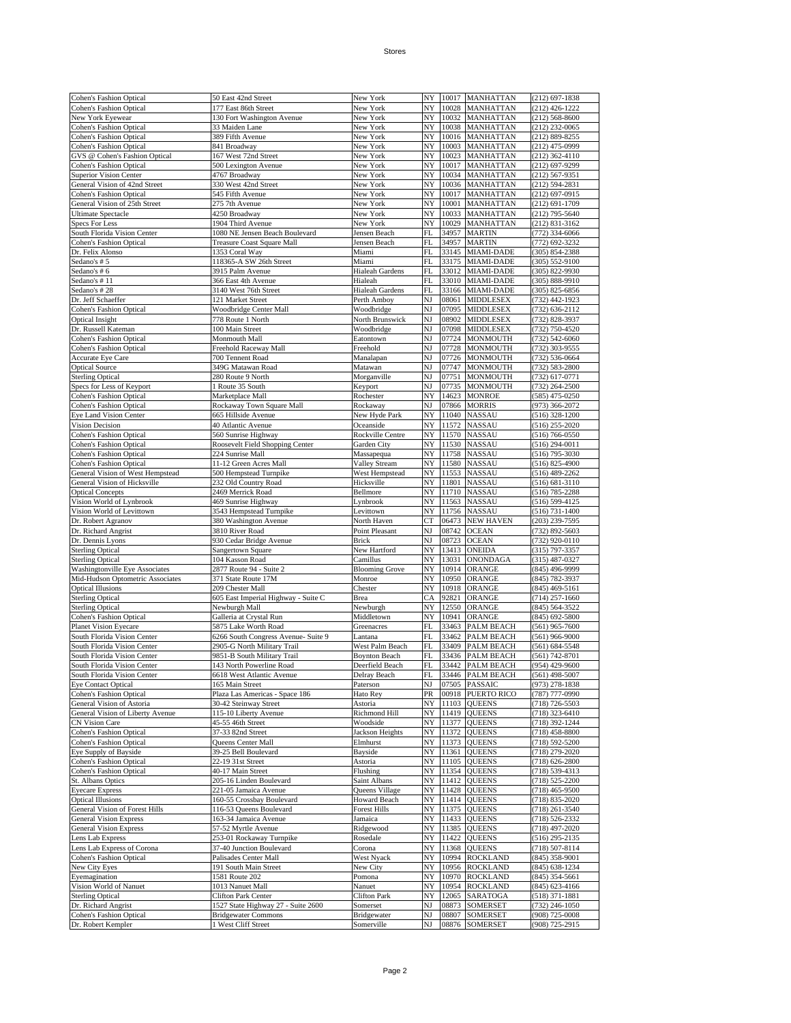| Cohen's Fashion Optical                                                                                                                                                                                                                                                                                                                                                                                                                                                                                                                                                                                                                                                                                                                                                                                                                                                                                                                                                                                                                                                                                                                                                                                                  | 50 East 42nd Street                               | New York                  | NY       | 10017          | <b>MANHATTAN</b>                   | $(212) 697 - 1838$               |
|--------------------------------------------------------------------------------------------------------------------------------------------------------------------------------------------------------------------------------------------------------------------------------------------------------------------------------------------------------------------------------------------------------------------------------------------------------------------------------------------------------------------------------------------------------------------------------------------------------------------------------------------------------------------------------------------------------------------------------------------------------------------------------------------------------------------------------------------------------------------------------------------------------------------------------------------------------------------------------------------------------------------------------------------------------------------------------------------------------------------------------------------------------------------------------------------------------------------------|---------------------------------------------------|---------------------------|----------|----------------|------------------------------------|----------------------------------|
|                                                                                                                                                                                                                                                                                                                                                                                                                                                                                                                                                                                                                                                                                                                                                                                                                                                                                                                                                                                                                                                                                                                                                                                                                          |                                                   |                           |          |                |                                    |                                  |
| <b>Cohen's Fashion Optical</b>                                                                                                                                                                                                                                                                                                                                                                                                                                                                                                                                                                                                                                                                                                                                                                                                                                                                                                                                                                                                                                                                                                                                                                                           | 177 East 86th Street                              | New York                  | NY       | 10028          | MANHATTAN                          | (212) 426-1222                   |
| New York Eyewear                                                                                                                                                                                                                                                                                                                                                                                                                                                                                                                                                                                                                                                                                                                                                                                                                                                                                                                                                                                                                                                                                                                                                                                                         | 130 Fort Washington Avenue                        | New York                  | NY       | 10032          | <b>MANHATTAN</b>                   | $(212) 568 - 8600$               |
| <b>Cohen's Fashion Optical</b>                                                                                                                                                                                                                                                                                                                                                                                                                                                                                                                                                                                                                                                                                                                                                                                                                                                                                                                                                                                                                                                                                                                                                                                           | 33 Maiden Lane                                    | New York                  | NY       | 10038          | MANHATTAN                          | $(212)$ 232-0065                 |
| <b>Cohen's Fashion Optical</b>                                                                                                                                                                                                                                                                                                                                                                                                                                                                                                                                                                                                                                                                                                                                                                                                                                                                                                                                                                                                                                                                                                                                                                                           | 389 Fifth Avenue                                  | New York                  | NY       |                | 10016 MANHATTAN                    | (212) 889-8255                   |
| <b>Cohen's Fashion Optical</b>                                                                                                                                                                                                                                                                                                                                                                                                                                                                                                                                                                                                                                                                                                                                                                                                                                                                                                                                                                                                                                                                                                                                                                                           | 841 Broadway                                      | New York                  | NY       | 10003          | <b>MANHATTAN</b>                   | (212) 475-0999                   |
| GVS @ Cohen's Fashion Optical                                                                                                                                                                                                                                                                                                                                                                                                                                                                                                                                                                                                                                                                                                                                                                                                                                                                                                                                                                                                                                                                                                                                                                                            | 167 West 72nd Street                              | New York                  | NY       | 10023          | <b>MANHATTAN</b>                   | $(212)$ 362-4110                 |
|                                                                                                                                                                                                                                                                                                                                                                                                                                                                                                                                                                                                                                                                                                                                                                                                                                                                                                                                                                                                                                                                                                                                                                                                                          |                                                   |                           |          |                |                                    |                                  |
| <b>Cohen's Fashion Optical</b>                                                                                                                                                                                                                                                                                                                                                                                                                                                                                                                                                                                                                                                                                                                                                                                                                                                                                                                                                                                                                                                                                                                                                                                           | 500 Lexington Avenue                              | New York                  | NY       | 10017          | MANHATTAN                          | (212) 697-9299                   |
| <b>Superior Vision Center</b>                                                                                                                                                                                                                                                                                                                                                                                                                                                                                                                                                                                                                                                                                                                                                                                                                                                                                                                                                                                                                                                                                                                                                                                            | 4767 Broadway                                     | New York                  | NY       | 10034          | <b>MANHATTAN</b>                   | (212) 567-9351                   |
| General Vision of 42nd Street                                                                                                                                                                                                                                                                                                                                                                                                                                                                                                                                                                                                                                                                                                                                                                                                                                                                                                                                                                                                                                                                                                                                                                                            | 330 West 42nd Street                              | New York                  | NY       | 10036          | MANHATTAN                          | (212) 594-2831                   |
| <b>Cohen's Fashion Optical</b>                                                                                                                                                                                                                                                                                                                                                                                                                                                                                                                                                                                                                                                                                                                                                                                                                                                                                                                                                                                                                                                                                                                                                                                           | 545 Fifth Avenue                                  | New York                  | NY       | 10017          | <b>MANHATTAN</b>                   | $(212) 697 - 0915$               |
| General Vision of 25th Street                                                                                                                                                                                                                                                                                                                                                                                                                                                                                                                                                                                                                                                                                                                                                                                                                                                                                                                                                                                                                                                                                                                                                                                            | 275 7th Avenue                                    | New York                  | NY       | 10001          | MANHATTAN                          | (212) 691-1709                   |
| <b>Ultimate Spectacle</b>                                                                                                                                                                                                                                                                                                                                                                                                                                                                                                                                                                                                                                                                                                                                                                                                                                                                                                                                                                                                                                                                                                                                                                                                | 4250 Broadway                                     | New York                  | NY       | 10033          | MANHATTAN                          | (212) 795-5640                   |
|                                                                                                                                                                                                                                                                                                                                                                                                                                                                                                                                                                                                                                                                                                                                                                                                                                                                                                                                                                                                                                                                                                                                                                                                                          |                                                   |                           |          |                |                                    |                                  |
| <b>Specs For Less</b>                                                                                                                                                                                                                                                                                                                                                                                                                                                                                                                                                                                                                                                                                                                                                                                                                                                                                                                                                                                                                                                                                                                                                                                                    | 1904 Third Avenue                                 | New York                  | NY       | 10029          | MANHATTAN                          | $(212) 831 - 3162$               |
| South Florida Vision Center                                                                                                                                                                                                                                                                                                                                                                                                                                                                                                                                                                                                                                                                                                                                                                                                                                                                                                                                                                                                                                                                                                                                                                                              | 1080 NE Jensen Beach Boulevard                    | Jensen Beach              | FL       | 34957          | <b>MARTIN</b>                      | (772) 334-6066                   |
| Cohen's Fashion Optical                                                                                                                                                                                                                                                                                                                                                                                                                                                                                                                                                                                                                                                                                                                                                                                                                                                                                                                                                                                                                                                                                                                                                                                                  | Treasure Coast Square Mall                        | Jensen Beach              | FL       | 34957          | <b>MARTIN</b>                      | (772) 692-3232                   |
| Dr. Felix Alonso                                                                                                                                                                                                                                                                                                                                                                                                                                                                                                                                                                                                                                                                                                                                                                                                                                                                                                                                                                                                                                                                                                                                                                                                         | 1353 Coral Way                                    | Miami                     | FL       | 33145          | MIAMI-DADE                         | (305) 854-2388                   |
| Sedano's #5                                                                                                                                                                                                                                                                                                                                                                                                                                                                                                                                                                                                                                                                                                                                                                                                                                                                                                                                                                                                                                                                                                                                                                                                              | 118365-A SW 26th Street                           | Miami                     | FL       | 33175          | <b>MIAMI-DADE</b>                  | $(305) 552 - 9100$               |
| Sedano's #6                                                                                                                                                                                                                                                                                                                                                                                                                                                                                                                                                                                                                                                                                                                                                                                                                                                                                                                                                                                                                                                                                                                                                                                                              | 3915 Palm Avenue                                  | Hialeah Gardens           | FL       | 33012          | <b>MIAMI-DADE</b>                  | (305) 822-9930                   |
|                                                                                                                                                                                                                                                                                                                                                                                                                                                                                                                                                                                                                                                                                                                                                                                                                                                                                                                                                                                                                                                                                                                                                                                                                          |                                                   |                           |          |                |                                    |                                  |
| Sedano's #11                                                                                                                                                                                                                                                                                                                                                                                                                                                                                                                                                                                                                                                                                                                                                                                                                                                                                                                                                                                                                                                                                                                                                                                                             | 366 East 4th Avenue                               | Hialeah                   | FL       | 33010          | MIAMI-DADE                         | (305) 888-9910                   |
| Sedano's #28                                                                                                                                                                                                                                                                                                                                                                                                                                                                                                                                                                                                                                                                                                                                                                                                                                                                                                                                                                                                                                                                                                                                                                                                             | 3140 West 76th Street                             | Hialeah Gardens           | FL       | 33166          | MIAMI-DADE                         | (305) 825-6856                   |
| Dr. Jeff Schaeffer                                                                                                                                                                                                                                                                                                                                                                                                                                                                                                                                                                                                                                                                                                                                                                                                                                                                                                                                                                                                                                                                                                                                                                                                       | 121 Market Street                                 | Perth Amboy               | NJ       | 08061          | <b>MIDDLESEX</b>                   | (732) 442-1923                   |
| <b>Cohen's Fashion Optical</b>                                                                                                                                                                                                                                                                                                                                                                                                                                                                                                                                                                                                                                                                                                                                                                                                                                                                                                                                                                                                                                                                                                                                                                                           | Woodbridge Center Mall                            | Woodbridge                | NJ       | 07095          | <b>MIDDLESEX</b>                   | (732) 636-2112                   |
| Optical Insight                                                                                                                                                                                                                                                                                                                                                                                                                                                                                                                                                                                                                                                                                                                                                                                                                                                                                                                                                                                                                                                                                                                                                                                                          | 778 Route 1 North                                 | North Brunswick           | NJ       | 08902          | <b>MIDDLESEX</b>                   | (732) 828-3937                   |
| Dr. Russell Kateman                                                                                                                                                                                                                                                                                                                                                                                                                                                                                                                                                                                                                                                                                                                                                                                                                                                                                                                                                                                                                                                                                                                                                                                                      | 100 Main Street                                   | Woodbridge                | NJ       | 07098          | <b>MIDDLESEX</b>                   | (732) 750-4520                   |
|                                                                                                                                                                                                                                                                                                                                                                                                                                                                                                                                                                                                                                                                                                                                                                                                                                                                                                                                                                                                                                                                                                                                                                                                                          |                                                   |                           |          |                |                                    |                                  |
| Cohen's Fashion Optical                                                                                                                                                                                                                                                                                                                                                                                                                                                                                                                                                                                                                                                                                                                                                                                                                                                                                                                                                                                                                                                                                                                                                                                                  | Monmouth Mall                                     | Eatontown                 | NJ       | 07724          | <b>MONMOUTH</b>                    | (732) 542-6060                   |
| <b>Cohen's Fashion Optical</b>                                                                                                                                                                                                                                                                                                                                                                                                                                                                                                                                                                                                                                                                                                                                                                                                                                                                                                                                                                                                                                                                                                                                                                                           | Freehold Raceway Mall                             | Freehold                  | NJ       | 07728          | MONMOUTH                           | (732) 303-9555                   |
| Accurate Eye Care                                                                                                                                                                                                                                                                                                                                                                                                                                                                                                                                                                                                                                                                                                                                                                                                                                                                                                                                                                                                                                                                                                                                                                                                        | 700 Tennent Road                                  | Manalapan                 | NJ       | 07726          | <b>MONMOUTH</b>                    | (732) 536-0664                   |
| <b>Optical Source</b>                                                                                                                                                                                                                                                                                                                                                                                                                                                                                                                                                                                                                                                                                                                                                                                                                                                                                                                                                                                                                                                                                                                                                                                                    | 349G Matawan Road                                 | Matawan                   | NJ       | 07747          | MONMOUTH                           | (732) 583-2800                   |
| <b>Sterling Optical</b>                                                                                                                                                                                                                                                                                                                                                                                                                                                                                                                                                                                                                                                                                                                                                                                                                                                                                                                                                                                                                                                                                                                                                                                                  | 280 Route 9 North                                 | Morganville               | NJ       | 07751          | <b>MONMOUTH</b>                    | (732) 617-0771                   |
|                                                                                                                                                                                                                                                                                                                                                                                                                                                                                                                                                                                                                                                                                                                                                                                                                                                                                                                                                                                                                                                                                                                                                                                                                          | 1 Route 35 South                                  | Keyport                   | NJ       | 07735          | <b>MONMOUTH</b>                    | (732) 264-2500                   |
| Specs for Less of Keyport                                                                                                                                                                                                                                                                                                                                                                                                                                                                                                                                                                                                                                                                                                                                                                                                                                                                                                                                                                                                                                                                                                                                                                                                |                                                   |                           |          |                |                                    |                                  |
| <b>Cohen's Fashion Optical</b>                                                                                                                                                                                                                                                                                                                                                                                                                                                                                                                                                                                                                                                                                                                                                                                                                                                                                                                                                                                                                                                                                                                                                                                           | Marketplace Mall                                  | Rochester                 | NY       | 14623          | <b>MONROE</b>                      | (585) 475-0250                   |
| <b>Cohen's Fashion Optical</b>                                                                                                                                                                                                                                                                                                                                                                                                                                                                                                                                                                                                                                                                                                                                                                                                                                                                                                                                                                                                                                                                                                                                                                                           | Rockaway Town Square Mall                         | Rockaway                  | NJ       | 07866          | <b>MORRIS</b>                      | (973) 366-2072                   |
| Eye Land Vision Center                                                                                                                                                                                                                                                                                                                                                                                                                                                                                                                                                                                                                                                                                                                                                                                                                                                                                                                                                                                                                                                                                                                                                                                                   | 665 Hillside Avenue                               | New Hyde Park             | NY       | 11040          | <b>NASSAU</b>                      | (516) 328-1200                   |
| Vision Decision                                                                                                                                                                                                                                                                                                                                                                                                                                                                                                                                                                                                                                                                                                                                                                                                                                                                                                                                                                                                                                                                                                                                                                                                          | 40 Atlantic Avenue                                | Oceanside                 | NY       | 11572          | <b>NASSAU</b>                      | (516) 255-2020                   |
| <b>Cohen's Fashion Optical</b>                                                                                                                                                                                                                                                                                                                                                                                                                                                                                                                                                                                                                                                                                                                                                                                                                                                                                                                                                                                                                                                                                                                                                                                           | 560 Sunrise Highway                               | Rockville Centre          | NY       | 11570          | <b>NASSAU</b>                      | (516) 766-0550                   |
|                                                                                                                                                                                                                                                                                                                                                                                                                                                                                                                                                                                                                                                                                                                                                                                                                                                                                                                                                                                                                                                                                                                                                                                                                          |                                                   |                           | NY       | 11530          | <b>NASSAU</b>                      |                                  |
| <b>Cohen's Fashion Optical</b>                                                                                                                                                                                                                                                                                                                                                                                                                                                                                                                                                                                                                                                                                                                                                                                                                                                                                                                                                                                                                                                                                                                                                                                           | Roosevelt Field Shopping Center                   | Garden City               |          |                |                                    | (516) 294-0011                   |
| <b>Cohen's Fashion Optical</b>                                                                                                                                                                                                                                                                                                                                                                                                                                                                                                                                                                                                                                                                                                                                                                                                                                                                                                                                                                                                                                                                                                                                                                                           | 224 Sunrise Mall                                  | Massapequa                | NY       | 11758          | <b>NASSAU</b>                      | (516) 795-3030                   |
| <b>Cohen's Fashion Optical</b>                                                                                                                                                                                                                                                                                                                                                                                                                                                                                                                                                                                                                                                                                                                                                                                                                                                                                                                                                                                                                                                                                                                                                                                           | 11-12 Green Acres Mall                            | Valley Stream             | NY       | 11580          | <b>NASSAU</b>                      | $(516)$ 825-4900                 |
| General Vision of West Hempstead                                                                                                                                                                                                                                                                                                                                                                                                                                                                                                                                                                                                                                                                                                                                                                                                                                                                                                                                                                                                                                                                                                                                                                                         | 500 Hempstead Turnpike                            | West Hempstead            | NY       | 11553          | <b>NASSAU</b>                      | (516) 489-2262                   |
| General Vision of Hicksville                                                                                                                                                                                                                                                                                                                                                                                                                                                                                                                                                                                                                                                                                                                                                                                                                                                                                                                                                                                                                                                                                                                                                                                             | 232 Old Country Road                              | Hicksville                | NY       | 11801          | <b>NASSAU</b>                      | $(516) 681 - 3110$               |
| <b>Optical Concepts</b>                                                                                                                                                                                                                                                                                                                                                                                                                                                                                                                                                                                                                                                                                                                                                                                                                                                                                                                                                                                                                                                                                                                                                                                                  | 2469 Merrick Road                                 | Bellmore                  | NY       | 11710          | <b>NASSAU</b>                      | (516) 785-2288                   |
|                                                                                                                                                                                                                                                                                                                                                                                                                                                                                                                                                                                                                                                                                                                                                                                                                                                                                                                                                                                                                                                                                                                                                                                                                          |                                                   |                           |          | 11563          |                                    |                                  |
| Vision World of Lynbrook                                                                                                                                                                                                                                                                                                                                                                                                                                                                                                                                                                                                                                                                                                                                                                                                                                                                                                                                                                                                                                                                                                                                                                                                 | 469 Sunrise Highway                               | Lynbrook                  | NY       |                | <b>NASSAU</b>                      | (516) 599-4125                   |
| Vision World of Levittown                                                                                                                                                                                                                                                                                                                                                                                                                                                                                                                                                                                                                                                                                                                                                                                                                                                                                                                                                                                                                                                                                                                                                                                                | 3543 Hempstead Turnpike                           | Levittown                 | NY       | 11756          | <b>NASSAU</b>                      | (516) 731-1400                   |
| Dr. Robert Agranov                                                                                                                                                                                                                                                                                                                                                                                                                                                                                                                                                                                                                                                                                                                                                                                                                                                                                                                                                                                                                                                                                                                                                                                                       | 380 Washington Avenue                             | North Haven               | CT       | 06473          | <b>NEW HAVEN</b>                   | (203) 239-7595                   |
|                                                                                                                                                                                                                                                                                                                                                                                                                                                                                                                                                                                                                                                                                                                                                                                                                                                                                                                                                                                                                                                                                                                                                                                                                          |                                                   |                           |          |                |                                    |                                  |
| Dr. Richard Angrist                                                                                                                                                                                                                                                                                                                                                                                                                                                                                                                                                                                                                                                                                                                                                                                                                                                                                                                                                                                                                                                                                                                                                                                                      | 3810 River Road                                   | Point Pleasant            | NJ       | 08742          | <b>OCEAN</b>                       | (732) 892-5603                   |
|                                                                                                                                                                                                                                                                                                                                                                                                                                                                                                                                                                                                                                                                                                                                                                                                                                                                                                                                                                                                                                                                                                                                                                                                                          |                                                   | Brick                     |          |                |                                    |                                  |
|                                                                                                                                                                                                                                                                                                                                                                                                                                                                                                                                                                                                                                                                                                                                                                                                                                                                                                                                                                                                                                                                                                                                                                                                                          | 930 Cedar Bridge Avenue                           |                           | NJ       | 08723          | <b>OCEAN</b>                       | (732) 920-0110                   |
|                                                                                                                                                                                                                                                                                                                                                                                                                                                                                                                                                                                                                                                                                                                                                                                                                                                                                                                                                                                                                                                                                                                                                                                                                          | Sangertown Square                                 | New Hartford              | NY       | 13413          | <b>ONEIDA</b>                      | (315) 797-3357                   |
|                                                                                                                                                                                                                                                                                                                                                                                                                                                                                                                                                                                                                                                                                                                                                                                                                                                                                                                                                                                                                                                                                                                                                                                                                          | 104 Kasson Road                                   | Camillus                  | NY       | 13031          | <b>ONONDAGA</b>                    | (315) 487-0327                   |
|                                                                                                                                                                                                                                                                                                                                                                                                                                                                                                                                                                                                                                                                                                                                                                                                                                                                                                                                                                                                                                                                                                                                                                                                                          | 2877 Route 94 - Suite 2                           | <b>Blooming Grove</b>     | NY       | 10914          | ORANGE                             | (845) 496-9999                   |
|                                                                                                                                                                                                                                                                                                                                                                                                                                                                                                                                                                                                                                                                                                                                                                                                                                                                                                                                                                                                                                                                                                                                                                                                                          | 371 State Route 17M                               | Monroe                    | NY       | 10950          | ORANGE                             | (845) 782-3937                   |
|                                                                                                                                                                                                                                                                                                                                                                                                                                                                                                                                                                                                                                                                                                                                                                                                                                                                                                                                                                                                                                                                                                                                                                                                                          | 209 Chester Mall                                  | Chester                   | NY       | 10918          | ORANGE                             | $(845)$ 469-5161                 |
|                                                                                                                                                                                                                                                                                                                                                                                                                                                                                                                                                                                                                                                                                                                                                                                                                                                                                                                                                                                                                                                                                                                                                                                                                          | 605 East Imperial Highway - Suite C               | Brea                      | CA       | 92821          | ORANGE                             |                                  |
|                                                                                                                                                                                                                                                                                                                                                                                                                                                                                                                                                                                                                                                                                                                                                                                                                                                                                                                                                                                                                                                                                                                                                                                                                          |                                                   |                           |          |                |                                    | (714) 257-1660                   |
|                                                                                                                                                                                                                                                                                                                                                                                                                                                                                                                                                                                                                                                                                                                                                                                                                                                                                                                                                                                                                                                                                                                                                                                                                          | Newburgh Mall                                     | Newburgh                  | NY       | 12550          | ORANGE                             | (845) 564-3522                   |
|                                                                                                                                                                                                                                                                                                                                                                                                                                                                                                                                                                                                                                                                                                                                                                                                                                                                                                                                                                                                                                                                                                                                                                                                                          | Galleria at Crystal Run                           | Middletown                | NY       | 10941          | ORANGE                             | $(845) 692 - 5800$               |
|                                                                                                                                                                                                                                                                                                                                                                                                                                                                                                                                                                                                                                                                                                                                                                                                                                                                                                                                                                                                                                                                                                                                                                                                                          | 5875 Lake Worth Road                              | Greenacres                | FL       | 33463          | PALM BEACH                         | $(561)$ 965-7600                 |
|                                                                                                                                                                                                                                                                                                                                                                                                                                                                                                                                                                                                                                                                                                                                                                                                                                                                                                                                                                                                                                                                                                                                                                                                                          | 6266 South Congress Avenue- Suite 9               | Lantana                   | FL       | 33462          | <b>PALM BEACH</b>                  | (561) 966-9000                   |
|                                                                                                                                                                                                                                                                                                                                                                                                                                                                                                                                                                                                                                                                                                                                                                                                                                                                                                                                                                                                                                                                                                                                                                                                                          | 2905-G North Military Trail                       | West Palm Beach           | FL       | 33409          | <b>PALM BEACH</b>                  | (561) 684-5548                   |
|                                                                                                                                                                                                                                                                                                                                                                                                                                                                                                                                                                                                                                                                                                                                                                                                                                                                                                                                                                                                                                                                                                                                                                                                                          | 9851-B South Military Trail                       | <b>Boynton Beach</b>      | FL       |                | 33436 PALM BEACH                   | (561) 742-8701                   |
|                                                                                                                                                                                                                                                                                                                                                                                                                                                                                                                                                                                                                                                                                                                                                                                                                                                                                                                                                                                                                                                                                                                                                                                                                          |                                                   |                           |          |                |                                    |                                  |
|                                                                                                                                                                                                                                                                                                                                                                                                                                                                                                                                                                                                                                                                                                                                                                                                                                                                                                                                                                                                                                                                                                                                                                                                                          | 143 North Powerline Road                          | Deerfield Beach           | FL       |                | 33442 PALM BEACH                   | (954) 429-9600                   |
|                                                                                                                                                                                                                                                                                                                                                                                                                                                                                                                                                                                                                                                                                                                                                                                                                                                                                                                                                                                                                                                                                                                                                                                                                          | 6618 West Atlantic Avenue                         | Delray Beach              | FL       |                | 33446 PALM BEACH                   | (561) 498-5007                   |
|                                                                                                                                                                                                                                                                                                                                                                                                                                                                                                                                                                                                                                                                                                                                                                                                                                                                                                                                                                                                                                                                                                                                                                                                                          | 165 Main Street                                   | Paterson                  | NJ       |                | 07505 PASSAIC                      | (973) 278-1838                   |
|                                                                                                                                                                                                                                                                                                                                                                                                                                                                                                                                                                                                                                                                                                                                                                                                                                                                                                                                                                                                                                                                                                                                                                                                                          | Plaza Las Americas - Space 186                    | Hato Rey                  | PR       | 00918          | <b>PUERTO RICO</b>                 | (787) 777-0990                   |
|                                                                                                                                                                                                                                                                                                                                                                                                                                                                                                                                                                                                                                                                                                                                                                                                                                                                                                                                                                                                                                                                                                                                                                                                                          | 30-42 Steinway Street                             | Astoria                   | NY       | 11103          | <b>QUEENS</b>                      | (718) 726-5503                   |
|                                                                                                                                                                                                                                                                                                                                                                                                                                                                                                                                                                                                                                                                                                                                                                                                                                                                                                                                                                                                                                                                                                                                                                                                                          | 115-10 Liberty Avenue                             | Richmond Hill             | NY       | 11419          | <b>QUEENS</b>                      | (718) 323-6410                   |
|                                                                                                                                                                                                                                                                                                                                                                                                                                                                                                                                                                                                                                                                                                                                                                                                                                                                                                                                                                                                                                                                                                                                                                                                                          | 45-55 46th Street                                 | Woodside                  | NY       | 11377          | <b>QUEENS</b>                      | (718) 392-1244                   |
|                                                                                                                                                                                                                                                                                                                                                                                                                                                                                                                                                                                                                                                                                                                                                                                                                                                                                                                                                                                                                                                                                                                                                                                                                          |                                                   |                           |          |                | <b>OUEENS</b>                      |                                  |
|                                                                                                                                                                                                                                                                                                                                                                                                                                                                                                                                                                                                                                                                                                                                                                                                                                                                                                                                                                                                                                                                                                                                                                                                                          | 37-33 82nd Street                                 | Jackson Heights           | NY       | 11372          |                                    | (718) 458-8800                   |
|                                                                                                                                                                                                                                                                                                                                                                                                                                                                                                                                                                                                                                                                                                                                                                                                                                                                                                                                                                                                                                                                                                                                                                                                                          | Queens Center Mall                                | Elmhurst                  | NY       |                | 11373 QUEENS                       | (718) 592-5200                   |
|                                                                                                                                                                                                                                                                                                                                                                                                                                                                                                                                                                                                                                                                                                                                                                                                                                                                                                                                                                                                                                                                                                                                                                                                                          | 39-25 Bell Boulevard                              | Bayside                   | NY       | 11361          | <b>QUEENS</b>                      | (718) 279-2020                   |
|                                                                                                                                                                                                                                                                                                                                                                                                                                                                                                                                                                                                                                                                                                                                                                                                                                                                                                                                                                                                                                                                                                                                                                                                                          | 22-19 31st Street                                 | Astoria                   | NY       | 11105          | <b>OUEENS</b>                      | $(718) 626 - 2800$               |
|                                                                                                                                                                                                                                                                                                                                                                                                                                                                                                                                                                                                                                                                                                                                                                                                                                                                                                                                                                                                                                                                                                                                                                                                                          | 40-17 Main Street                                 | Flushing                  | NY       | 11354          | <b>QUEENS</b>                      | (718) 539-4313                   |
|                                                                                                                                                                                                                                                                                                                                                                                                                                                                                                                                                                                                                                                                                                                                                                                                                                                                                                                                                                                                                                                                                                                                                                                                                          | 205-16 Linden Boulevard                           | Saint Albans              | NY       |                | 11412 QUEENS                       | (718) 525-2200                   |
|                                                                                                                                                                                                                                                                                                                                                                                                                                                                                                                                                                                                                                                                                                                                                                                                                                                                                                                                                                                                                                                                                                                                                                                                                          |                                                   |                           |          |                |                                    |                                  |
|                                                                                                                                                                                                                                                                                                                                                                                                                                                                                                                                                                                                                                                                                                                                                                                                                                                                                                                                                                                                                                                                                                                                                                                                                          | 221-05 Jamaica Avenue                             | Queens Village            | NY       | 11428          | <b>QUEENS</b>                      | $(718)$ 465-9500                 |
|                                                                                                                                                                                                                                                                                                                                                                                                                                                                                                                                                                                                                                                                                                                                                                                                                                                                                                                                                                                                                                                                                                                                                                                                                          | 160-55 Crossbay Boulevard                         | <b>Howard Beach</b>       | NY       |                | 11414 QUEENS                       | (718) 835-2020                   |
|                                                                                                                                                                                                                                                                                                                                                                                                                                                                                                                                                                                                                                                                                                                                                                                                                                                                                                                                                                                                                                                                                                                                                                                                                          | 116-53 Queens Boulevard                           | <b>Forest Hills</b>       | NY       | 11375          | <b>QUEENS</b>                      | (718) 261-3540                   |
|                                                                                                                                                                                                                                                                                                                                                                                                                                                                                                                                                                                                                                                                                                                                                                                                                                                                                                                                                                                                                                                                                                                                                                                                                          | 163-34 Jamaica Avenue                             | Jamaica                   | NY       |                | 11433 QUEENS                       | (718) 526-2332                   |
|                                                                                                                                                                                                                                                                                                                                                                                                                                                                                                                                                                                                                                                                                                                                                                                                                                                                                                                                                                                                                                                                                                                                                                                                                          | 57-52 Myrtle Avenue                               | Ridgewood                 | NY       |                | 11385 QUEENS                       | (718) 497-2020                   |
|                                                                                                                                                                                                                                                                                                                                                                                                                                                                                                                                                                                                                                                                                                                                                                                                                                                                                                                                                                                                                                                                                                                                                                                                                          | 253-01 Rockaway Turnpike                          | Rosedale                  | NY       | 11422          | <b>QUEENS</b>                      | (516) 295-2135                   |
|                                                                                                                                                                                                                                                                                                                                                                                                                                                                                                                                                                                                                                                                                                                                                                                                                                                                                                                                                                                                                                                                                                                                                                                                                          |                                                   |                           |          |                |                                    |                                  |
|                                                                                                                                                                                                                                                                                                                                                                                                                                                                                                                                                                                                                                                                                                                                                                                                                                                                                                                                                                                                                                                                                                                                                                                                                          | 37-40 Junction Boulevard                          | Corona                    | NY       | 11368          | <b>QUEENS</b>                      | (718) 507-8114                   |
|                                                                                                                                                                                                                                                                                                                                                                                                                                                                                                                                                                                                                                                                                                                                                                                                                                                                                                                                                                                                                                                                                                                                                                                                                          | Palisades Center Mall                             | West Nyack                | NY       | 10994          | <b>ROCKLAND</b>                    | $(845)$ 358-9001                 |
|                                                                                                                                                                                                                                                                                                                                                                                                                                                                                                                                                                                                                                                                                                                                                                                                                                                                                                                                                                                                                                                                                                                                                                                                                          | 191 South Main Street                             | New City                  | NY       | 10956          | <b>ROCKLAND</b>                    | (845) 638-1234                   |
|                                                                                                                                                                                                                                                                                                                                                                                                                                                                                                                                                                                                                                                                                                                                                                                                                                                                                                                                                                                                                                                                                                                                                                                                                          | 1581 Route 202                                    | Pomona                    | NY       | 10970          | <b>ROCKLAND</b>                    | (845) 354-5661                   |
|                                                                                                                                                                                                                                                                                                                                                                                                                                                                                                                                                                                                                                                                                                                                                                                                                                                                                                                                                                                                                                                                                                                                                                                                                          | 1013 Nanuet Mall                                  | Nanuet                    | NY       | 10954          | <b>ROCKLAND</b>                    | (845) 623-4166                   |
|                                                                                                                                                                                                                                                                                                                                                                                                                                                                                                                                                                                                                                                                                                                                                                                                                                                                                                                                                                                                                                                                                                                                                                                                                          | <b>Clifton Park Center</b>                        | Clifton Park              | NY       | 12065          | SARATOGA                           | (518) 371-1881                   |
|                                                                                                                                                                                                                                                                                                                                                                                                                                                                                                                                                                                                                                                                                                                                                                                                                                                                                                                                                                                                                                                                                                                                                                                                                          |                                                   |                           |          |                |                                    |                                  |
|                                                                                                                                                                                                                                                                                                                                                                                                                                                                                                                                                                                                                                                                                                                                                                                                                                                                                                                                                                                                                                                                                                                                                                                                                          | 1527 State Highway 27 - Suite 2600                | Somerset                  | NJ       | 08873          | <b>SOMERSET</b>                    | (732) 246-1050                   |
| Dr. Dennis Lyons<br><b>Sterling Optical</b><br><b>Sterling Optical</b><br>Washingtonville Eye Associates<br>Mid-Hudson Optometric Associates<br><b>Optical Illusions</b><br><b>Sterling Optical</b><br><b>Sterling Optical</b><br>Cohen's Fashion Optical<br><b>Planet Vision Eyecare</b><br>South Florida Vision Center<br>South Florida Vision Center<br>South Florida Vision Center<br>South Florida Vision Center<br>South Florida Vision Center<br><b>Eye Contact Optical</b><br><b>Cohen's Fashion Optical</b><br>General Vision of Astoria<br>General Vision of Liberty Avenue<br><b>CN Vision Care</b><br><b>Cohen's Fashion Optical</b><br><b>Cohen's Fashion Optical</b><br>Eye Supply of Bayside<br><b>Cohen's Fashion Optical</b><br><b>Cohen's Fashion Optical</b><br>St. Albans Optics<br><b>Eyecare Express</b><br><b>Optical Illusions</b><br>General Vision of Forest Hills<br><b>General Vision Express</b><br><b>General Vision Express</b><br>Lens Lab Express<br>Lens Lab Express of Corona<br><b>Cohen's Fashion Optical</b><br>New City Eyes<br>Eyemagination<br>Vision World of Nanuet<br><b>Sterling Optical</b><br>Dr. Richard Angrist<br><b>Cohen's Fashion Optical</b><br>Dr. Robert Kempler | <b>Bridgewater Commons</b><br>1 West Cliff Street | Bridgewater<br>Somerville | NJ<br>NJ | 08807<br>08876 | <b>SOMERSET</b><br><b>SOMERSET</b> | (908) 725-0008<br>(908) 725-2915 |